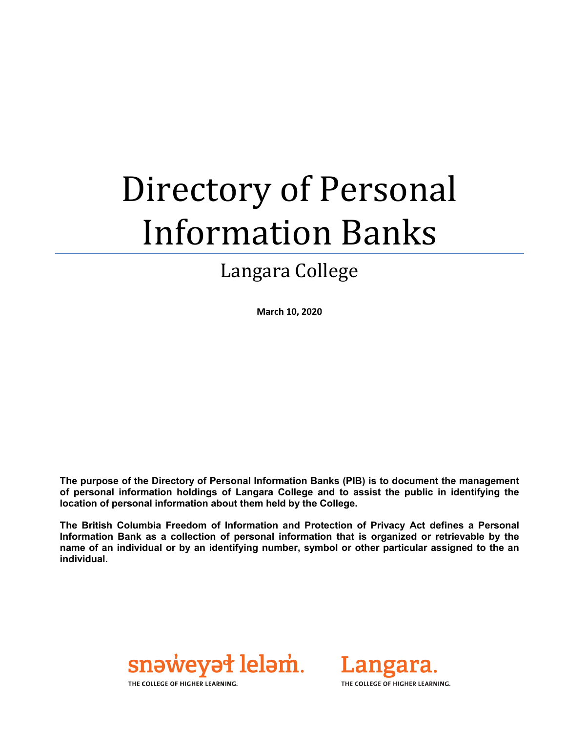# Directory of Personal Information Banks

### Langara College

**March 10, 2020**

**The purpose of the Directory of Personal Information Banks (PIB) is to document the management of personal information holdings of Langara College and to assist the public in identifying the location of personal information about them held by the College.**

**The British Columbia Freedom of Information and Protection of Privacy Act defines a Personal Information Bank as a collection of personal information that is organized or retrievable by the name of an individual or by an identifying number, symbol or other particular assigned to the an individual.**





THE COLLEGE OF HIGHER LEARNING.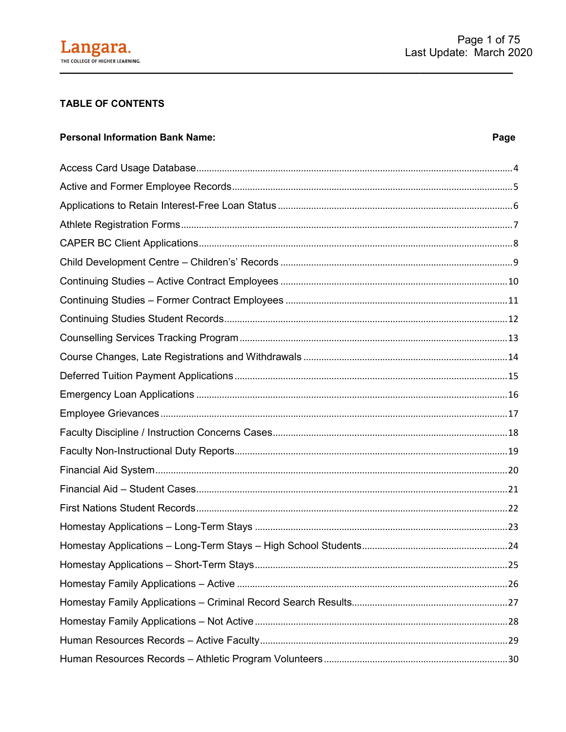

#### **TABLE OF CONTENTS**

#### **Personal Information Bank Name:**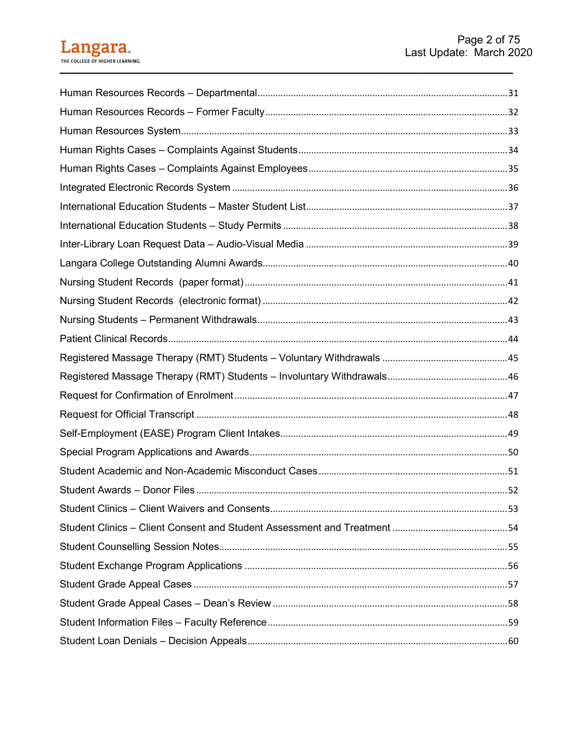## Langara.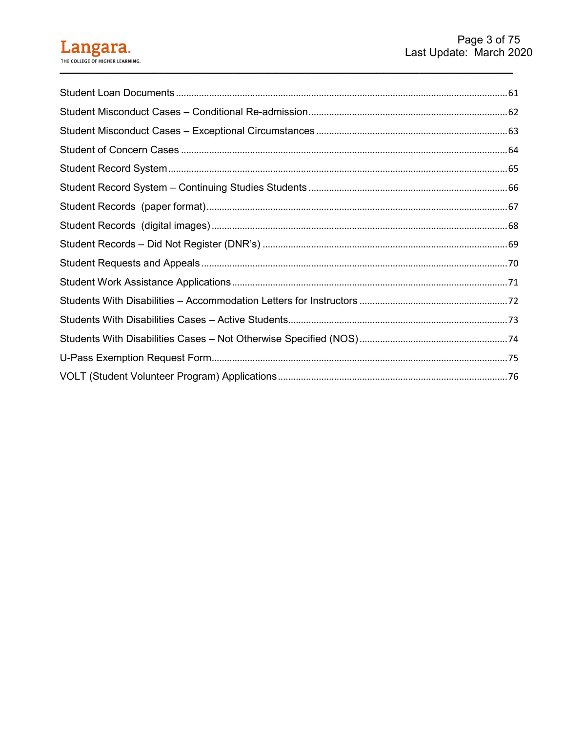#### Langara. THE COLLEGE OF HIGHER LEARNING.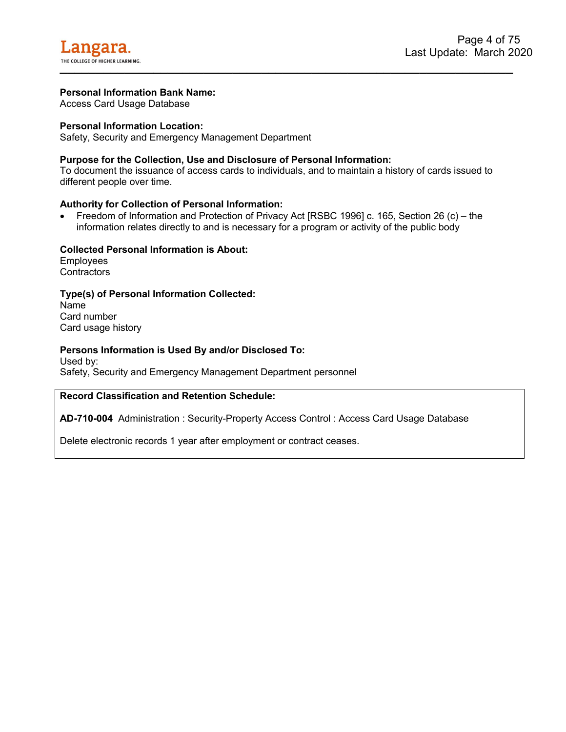<span id="page-4-0"></span>Access Card Usage Database

#### **Personal Information Location:**

Safety, Security and Emergency Management Department

#### **Purpose for the Collection, Use and Disclosure of Personal Information:**

To document the issuance of access cards to individuals, and to maintain a history of cards issued to different people over time.

#### **Authority for Collection of Personal Information:**

• Freedom of Information and Protection of Privacy Act [RSBC 1996] c. 165, Section 26 (c) – the information relates directly to and is necessary for a program or activity of the public body

#### **Collected Personal Information is About:**

**Employees Contractors** 

#### **Type(s) of Personal Information Collected:**

Name Card number Card usage history

#### **Persons Information is Used By and/or Disclosed To:**

Used by: Safety, Security and Emergency Management Department personnel

#### **Record Classification and Retention Schedule:**

**AD-710-004** Administration : Security-Property Access Control : Access Card Usage Database

Delete electronic records 1 year after employment or contract ceases.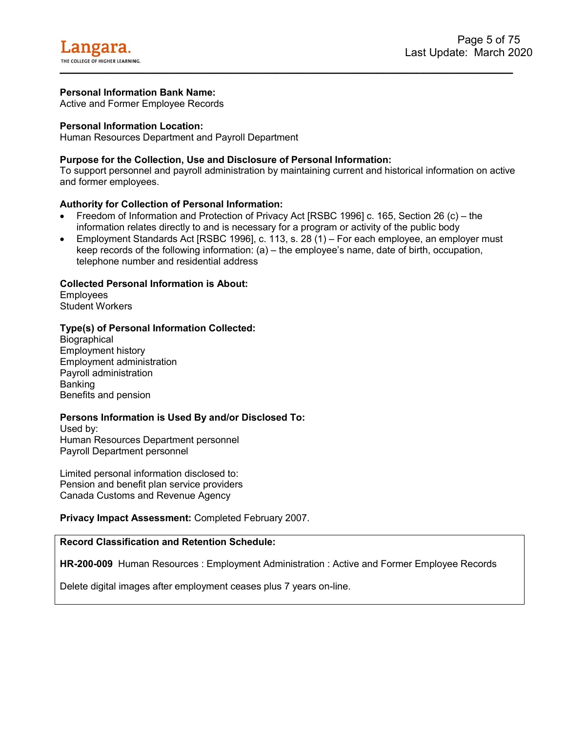<span id="page-5-0"></span>Active and Former Employee Records

#### **Personal Information Location:**

Human Resources Department and Payroll Department

#### **Purpose for the Collection, Use and Disclosure of Personal Information:**

To support personnel and payroll administration by maintaining current and historical information on active and former employees.

#### **Authority for Collection of Personal Information:**

- Freedom of Information and Protection of Privacy Act [RSBC 1996] c. 165, Section 26 (c) the information relates directly to and is necessary for a program or activity of the public body
- Employment Standards Act [RSBC 1996], c. 113, s. 28 (1) For each employee, an employer must keep records of the following information: (a) – the employee's name, date of birth, occupation, telephone number and residential address

#### **Collected Personal Information is About:**

Employees Student Workers

#### **Type(s) of Personal Information Collected:**

**Biographical** Employment history Employment administration Payroll administration Banking Benefits and pension

#### **Persons Information is Used By and/or Disclosed To:**

Used by: Human Resources Department personnel Payroll Department personnel

Limited personal information disclosed to: Pension and benefit plan service providers Canada Customs and Revenue Agency

**Privacy Impact Assessment:** Completed February 2007.

#### **Record Classification and Retention Schedule:**

**HR-200-009** Human Resources : Employment Administration : Active and Former Employee Records

Delete digital images after employment ceases plus 7 years on-line.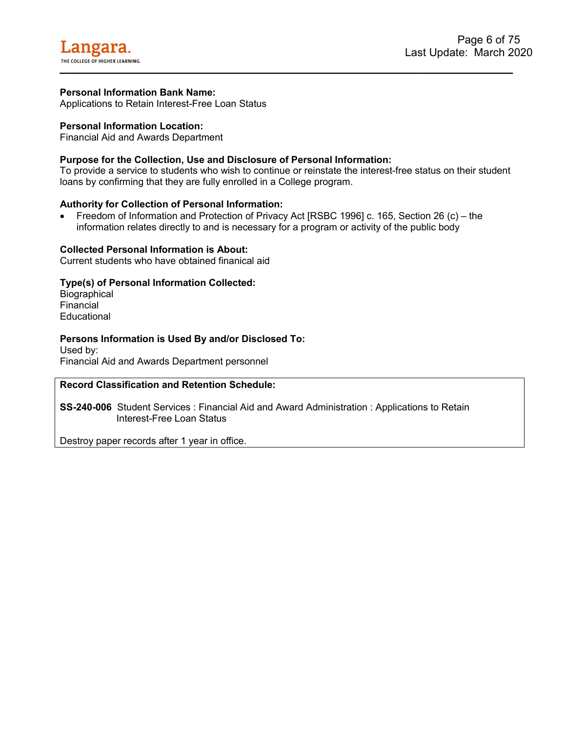<span id="page-6-0"></span>Applications to Retain Interest-Free Loan Status

#### **Personal Information Location:**

Financial Aid and Awards Department

#### **Purpose for the Collection, Use and Disclosure of Personal Information:**

To provide a service to students who wish to continue or reinstate the interest-free status on their student loans by confirming that they are fully enrolled in a College program.

#### **Authority for Collection of Personal Information:**

• Freedom of Information and Protection of Privacy Act [RSBC 1996] c. 165, Section 26 (c) – the information relates directly to and is necessary for a program or activity of the public body

#### **Collected Personal Information is About:**

Current students who have obtained finanical aid

#### **Type(s) of Personal Information Collected:**

**Biographical Financial Educational** 

#### **Persons Information is Used By and/or Disclosed To:**

Used by: Financial Aid and Awards Department personnel

#### **Record Classification and Retention Schedule:**

**SS-240-006** Student Services : Financial Aid and Award Administration : Applications to Retain Interest-Free Loan Status

Destroy paper records after 1 year in office.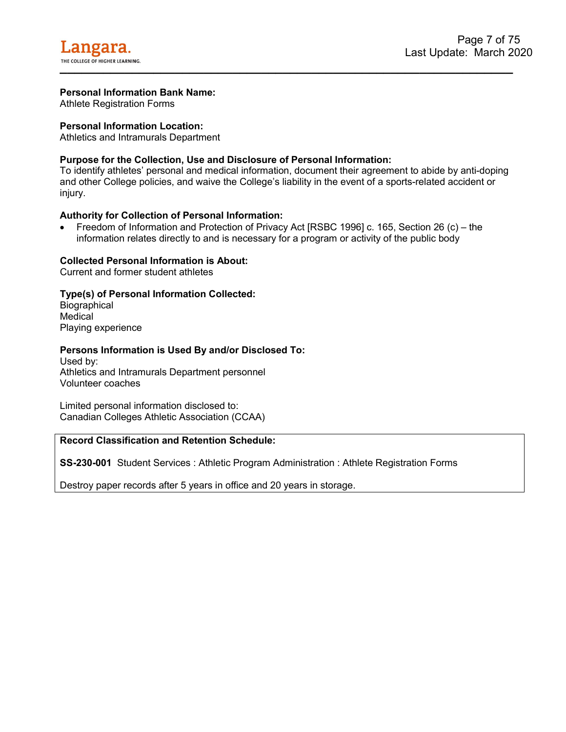<span id="page-7-0"></span>Athlete Registration Forms

#### **Personal Information Location:**

Athletics and Intramurals Department

#### **Purpose for the Collection, Use and Disclosure of Personal Information:**

To identify athletes' personal and medical information, document their agreement to abide by anti-doping and other College policies, and waive the College's liability in the event of a sports-related accident or injury.

#### **Authority for Collection of Personal Information:**

• Freedom of Information and Protection of Privacy Act [RSBC 1996] c. 165, Section 26 (c) – the information relates directly to and is necessary for a program or activity of the public body

#### **Collected Personal Information is About:**

Current and former student athletes

#### **Type(s) of Personal Information Collected:**

**Biographical Medical** Playing experience

#### **Persons Information is Used By and/or Disclosed To:**

Used by: Athletics and Intramurals Department personnel Volunteer coaches

Limited personal information disclosed to: Canadian Colleges Athletic Association (CCAA)

#### **Record Classification and Retention Schedule:**

**SS-230-001** Student Services : Athletic Program Administration : Athlete Registration Forms

Destroy paper records after 5 years in office and 20 years in storage.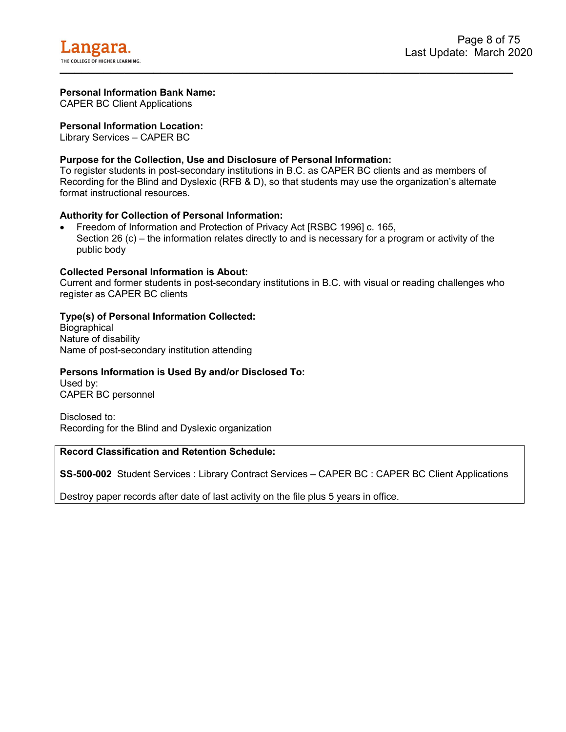<span id="page-8-0"></span>CAPER BC Client Applications

#### **Personal Information Location:**

Library Services – CAPER BC

#### **Purpose for the Collection, Use and Disclosure of Personal Information:**

To register students in post-secondary institutions in B.C. as CAPER BC clients and as members of Recording for the Blind and Dyslexic (RFB & D), so that students may use the organization's alternate format instructional resources.

#### **Authority for Collection of Personal Information:**

• Freedom of Information and Protection of Privacy Act [RSBC 1996] c. 165, Section 26 (c) – the information relates directly to and is necessary for a program or activity of the public body

#### **Collected Personal Information is About:**

Current and former students in post-secondary institutions in B.C. with visual or reading challenges who register as CAPER BC clients

#### **Type(s) of Personal Information Collected:**

**Biographical** Nature of disability Name of post-secondary institution attending

#### **Persons Information is Used By and/or Disclosed To:**

Used by: CAPER BC personnel

Disclosed to: Recording for the Blind and Dyslexic organization

#### **Record Classification and Retention Schedule:**

**SS-500-002** Student Services : Library Contract Services – CAPER BC : CAPER BC Client Applications

Destroy paper records after date of last activity on the file plus 5 years in office.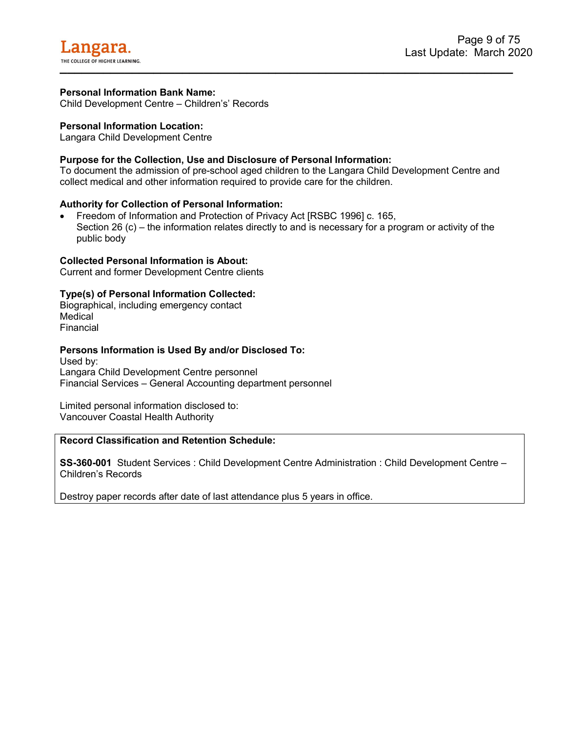<span id="page-9-0"></span>Child Development Centre – Children's' Records

#### **Personal Information Location:**

Langara Child Development Centre

#### **Purpose for the Collection, Use and Disclosure of Personal Information:**

To document the admission of pre-school aged children to the Langara Child Development Centre and collect medical and other information required to provide care for the children.

#### **Authority for Collection of Personal Information:**

• Freedom of Information and Protection of Privacy Act [RSBC 1996] c. 165, Section 26 (c) – the information relates directly to and is necessary for a program or activity of the public body

#### **Collected Personal Information is About:**

Current and former Development Centre clients

#### **Type(s) of Personal Information Collected:**

Biographical, including emergency contact **Medical** Financial

#### **Persons Information is Used By and/or Disclosed To:**

Used by: Langara Child Development Centre personnel Financial Services – General Accounting department personnel

Limited personal information disclosed to: Vancouver Coastal Health Authority

#### **Record Classification and Retention Schedule:**

**SS-360-001** Student Services : Child Development Centre Administration : Child Development Centre – Children's Records

Destroy paper records after date of last attendance plus 5 years in office.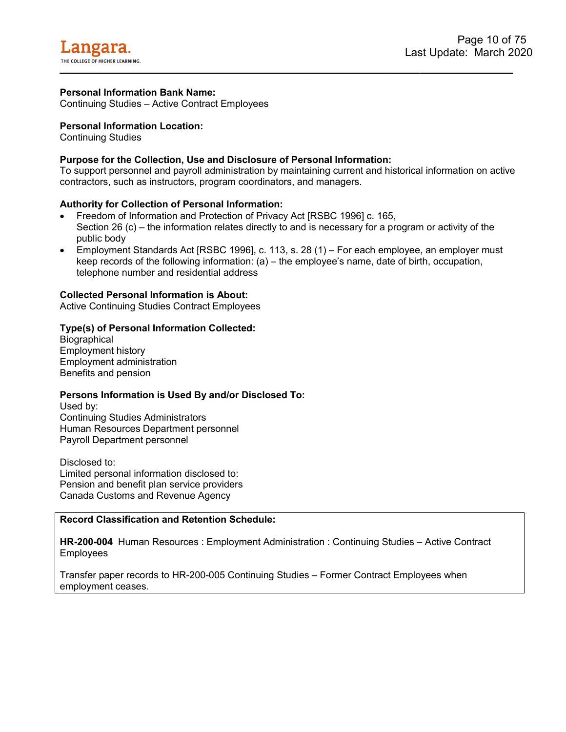<span id="page-10-0"></span>Continuing Studies – Active Contract Employees

#### **Personal Information Location:**

Continuing Studies

#### **Purpose for the Collection, Use and Disclosure of Personal Information:**

To support personnel and payroll administration by maintaining current and historical information on active contractors, such as instructors, program coordinators, and managers.

#### **Authority for Collection of Personal Information:**

- Freedom of Information and Protection of Privacy Act [RSBC 1996] c. 165, Section 26 (c) – the information relates directly to and is necessary for a program or activity of the public body
- Employment Standards Act [RSBC 1996], c. 113, s. 28 (1) For each employee, an employer must keep records of the following information: (a) – the employee's name, date of birth, occupation, telephone number and residential address

#### **Collected Personal Information is About:**

Active Continuing Studies Contract Employees

#### **Type(s) of Personal Information Collected:**

**Biographical** Employment history Employment administration Benefits and pension

#### **Persons Information is Used By and/or Disclosed To:**

Used by: Continuing Studies Administrators Human Resources Department personnel Payroll Department personnel

Disclosed to: Limited personal information disclosed to: Pension and benefit plan service providers Canada Customs and Revenue Agency

#### **Record Classification and Retention Schedule:**

**HR-200-004** Human Resources : Employment Administration : Continuing Studies – Active Contract Employees

Transfer paper records to HR-200-005 Continuing Studies – Former Contract Employees when employment ceases.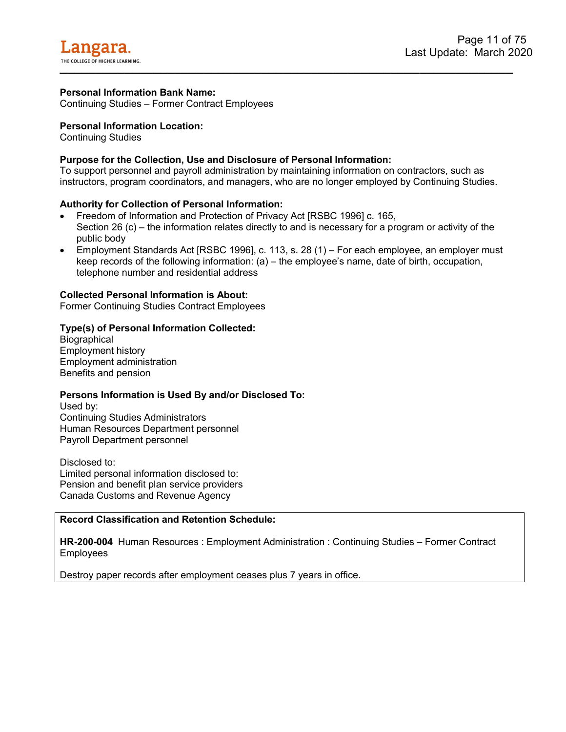<span id="page-11-0"></span>Continuing Studies – Former Contract Employees

#### **Personal Information Location:**

Continuing Studies

#### **Purpose for the Collection, Use and Disclosure of Personal Information:**

To support personnel and payroll administration by maintaining information on contractors, such as instructors, program coordinators, and managers, who are no longer employed by Continuing Studies.

#### **Authority for Collection of Personal Information:**

- Freedom of Information and Protection of Privacy Act [RSBC 1996] c. 165, Section 26 (c) – the information relates directly to and is necessary for a program or activity of the public body
- Employment Standards Act [RSBC 1996], c. 113, s. 28 (1) For each employee, an employer must keep records of the following information: (a) – the employee's name, date of birth, occupation, telephone number and residential address

#### **Collected Personal Information is About:**

Former Continuing Studies Contract Employees

#### **Type(s) of Personal Information Collected:**

**Biographical** Employment history Employment administration Benefits and pension

#### **Persons Information is Used By and/or Disclosed To:**

Used by: Continuing Studies Administrators Human Resources Department personnel Payroll Department personnel

Disclosed to: Limited personal information disclosed to: Pension and benefit plan service providers Canada Customs and Revenue Agency

#### **Record Classification and Retention Schedule:**

**HR-200-004** Human Resources : Employment Administration : Continuing Studies – Former Contract Employees

Destroy paper records after employment ceases plus 7 years in office.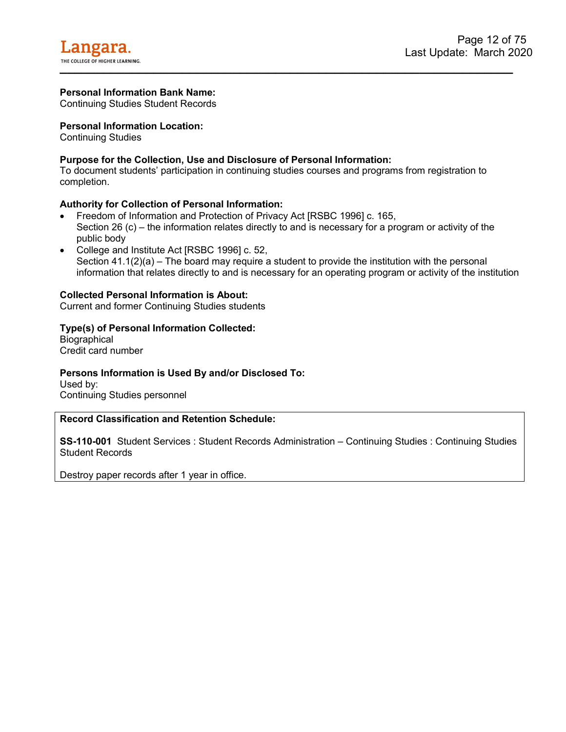<span id="page-12-0"></span>Continuing Studies Student Records

#### **Personal Information Location:**

Continuing Studies

#### **Purpose for the Collection, Use and Disclosure of Personal Information:**

To document students' participation in continuing studies courses and programs from registration to completion.

#### **Authority for Collection of Personal Information:**

- Freedom of Information and Protection of Privacy Act [RSBC 1996] c. 165, Section 26 (c) – the information relates directly to and is necessary for a program or activity of the public body
- College and Institute Act [RSBC 1996] c. 52, Section  $41.1(2)(a)$  – The board may require a student to provide the institution with the personal information that relates directly to and is necessary for an operating program or activity of the institution

#### **Collected Personal Information is About:**

Current and former Continuing Studies students

#### **Type(s) of Personal Information Collected:**

**Biographical** Credit card number

#### **Persons Information is Used By and/or Disclosed To:**

Used by: Continuing Studies personnel

#### **Record Classification and Retention Schedule:**

**SS-110-001** Student Services : Student Records Administration – Continuing Studies : Continuing Studies Student Records

Destroy paper records after 1 year in office.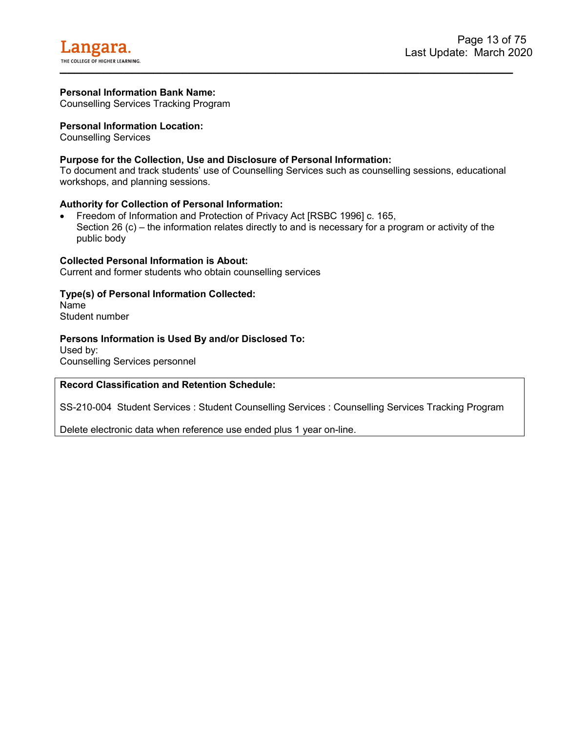<span id="page-13-0"></span>Counselling Services Tracking Program

#### **Personal Information Location:**

Counselling Services

#### **Purpose for the Collection, Use and Disclosure of Personal Information:**

To document and track students' use of Counselling Services such as counselling sessions, educational workshops, and planning sessions.

#### **Authority for Collection of Personal Information:**

• Freedom of Information and Protection of Privacy Act [RSBC 1996] c. 165, Section 26 (c) – the information relates directly to and is necessary for a program or activity of the public body

#### **Collected Personal Information is About:**

Current and former students who obtain counselling services

#### **Type(s) of Personal Information Collected:**

Name Student number

#### **Persons Information is Used By and/or Disclosed To:**

Used by: Counselling Services personnel

#### **Record Classification and Retention Schedule:**

SS-210-004 Student Services : Student Counselling Services : Counselling Services Tracking Program

Delete electronic data when reference use ended plus 1 year on-line.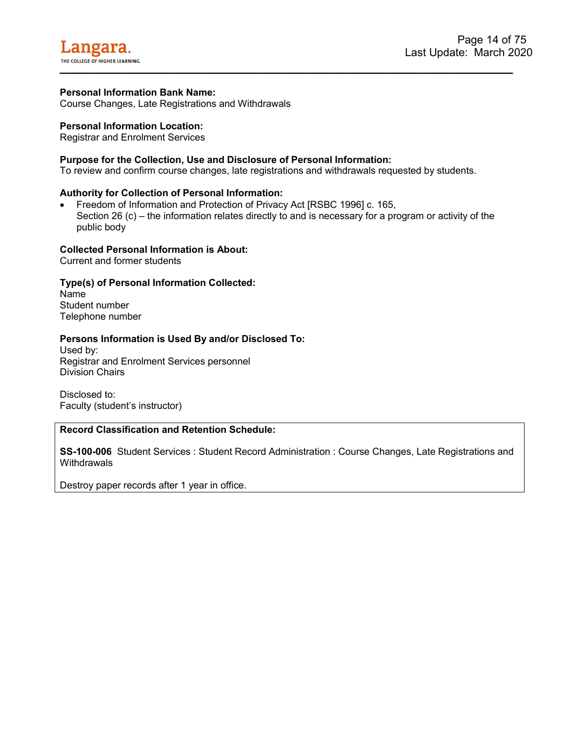<span id="page-14-0"></span>Course Changes, Late Registrations and Withdrawals

#### **Personal Information Location:**

Registrar and Enrolment Services

#### **Purpose for the Collection, Use and Disclosure of Personal Information:**

To review and confirm course changes, late registrations and withdrawals requested by students.

#### **Authority for Collection of Personal Information:**

• Freedom of Information and Protection of Privacy Act [RSBC 1996] c. 165, Section 26 (c) – the information relates directly to and is necessary for a program or activity of the public body

#### **Collected Personal Information is About:**

Current and former students

#### **Type(s) of Personal Information Collected:**

Name Student number Telephone number

#### **Persons Information is Used By and/or Disclosed To:**

Used by: Registrar and Enrolment Services personnel Division Chairs

Disclosed to: Faculty (student's instructor)

#### **Record Classification and Retention Schedule:**

**SS-100-006** Student Services : Student Record Administration : Course Changes, Late Registrations and **Withdrawals** 

Destroy paper records after 1 year in office.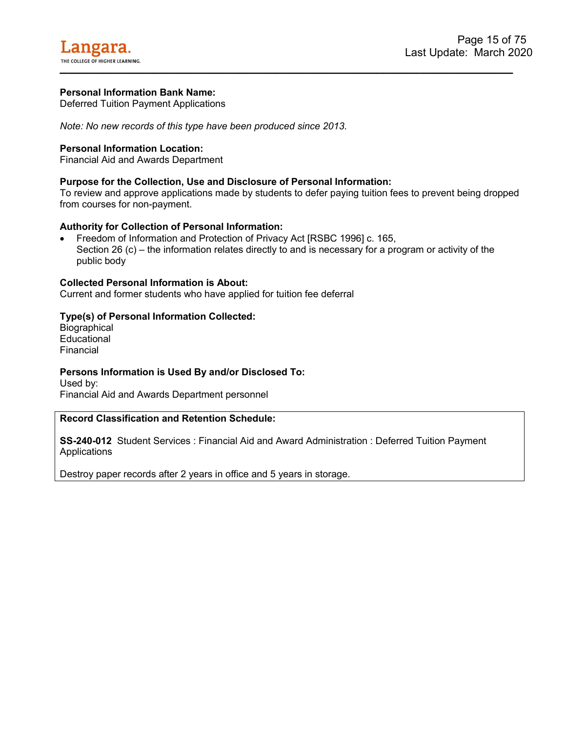<span id="page-15-0"></span>Deferred Tuition Payment Applications

*Note: No new records of this type have been produced since 2013.*

#### **Personal Information Location:**

Financial Aid and Awards Department

#### **Purpose for the Collection, Use and Disclosure of Personal Information:**

To review and approve applications made by students to defer paying tuition fees to prevent being dropped from courses for non-payment.

#### **Authority for Collection of Personal Information:**

• Freedom of Information and Protection of Privacy Act [RSBC 1996] c. 165, Section 26 (c) – the information relates directly to and is necessary for a program or activity of the public body

#### **Collected Personal Information is About:**

Current and former students who have applied for tuition fee deferral

#### **Type(s) of Personal Information Collected:**

**Biographical Educational** Financial

#### **Persons Information is Used By and/or Disclosed To:**

Used by: Financial Aid and Awards Department personnel

#### **Record Classification and Retention Schedule:**

**SS-240-012** Student Services : Financial Aid and Award Administration : Deferred Tuition Payment Applications

Destroy paper records after 2 years in office and 5 years in storage.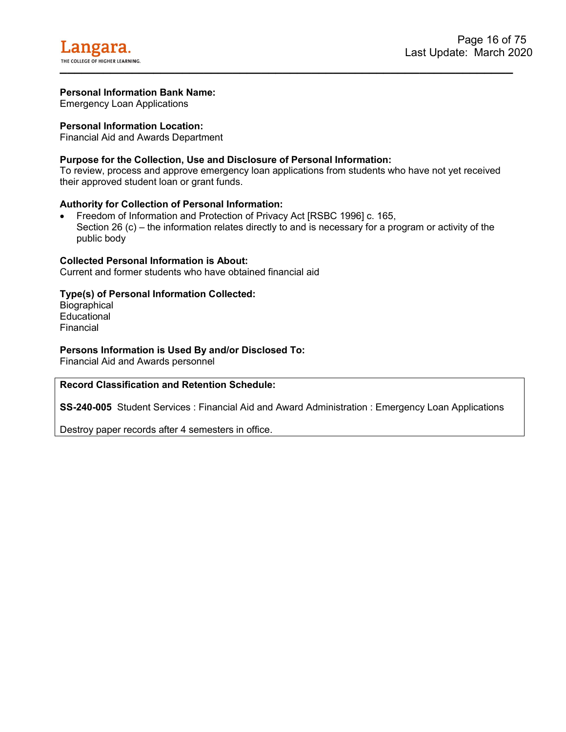<span id="page-16-0"></span>Emergency Loan Applications

#### **Personal Information Location:**

Financial Aid and Awards Department

#### **Purpose for the Collection, Use and Disclosure of Personal Information:**

To review, process and approve emergency loan applications from students who have not yet received their approved student loan or grant funds.

#### **Authority for Collection of Personal Information:**

• Freedom of Information and Protection of Privacy Act [RSBC 1996] c. 165, Section 26 (c) – the information relates directly to and is necessary for a program or activity of the public body

#### **Collected Personal Information is About:**

Current and former students who have obtained financial aid

#### **Type(s) of Personal Information Collected:**

**Biographical** Educational Financial

#### **Persons Information is Used By and/or Disclosed To:**

Financial Aid and Awards personnel

#### **Record Classification and Retention Schedule:**

**SS-240-005** Student Services : Financial Aid and Award Administration : Emergency Loan Applications

Destroy paper records after 4 semesters in office.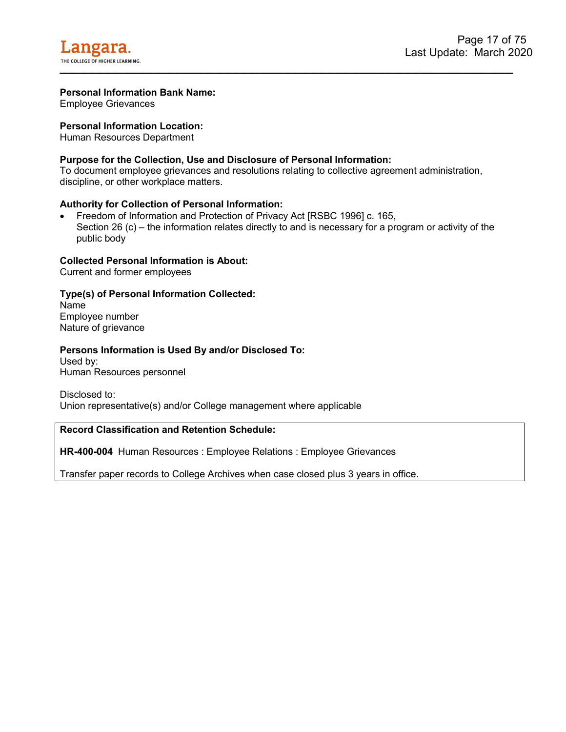

<span id="page-17-0"></span>Employee Grievances

#### **Personal Information Location:**

Human Resources Department

#### **Purpose for the Collection, Use and Disclosure of Personal Information:**

To document employee grievances and resolutions relating to collective agreement administration, discipline, or other workplace matters.

#### **Authority for Collection of Personal Information:**

• Freedom of Information and Protection of Privacy Act [RSBC 1996] c. 165, Section 26 (c) – the information relates directly to and is necessary for a program or activity of the public body

#### **Collected Personal Information is About:**

Current and former employees

#### **Type(s) of Personal Information Collected:**

Name Employee number Nature of grievance

#### **Persons Information is Used By and/or Disclosed To:**

Used by: Human Resources personnel

Disclosed to: Union representative(s) and/or College management where applicable

#### **Record Classification and Retention Schedule:**

**HR-400-004** Human Resources : Employee Relations : Employee Grievances

Transfer paper records to College Archives when case closed plus 3 years in office.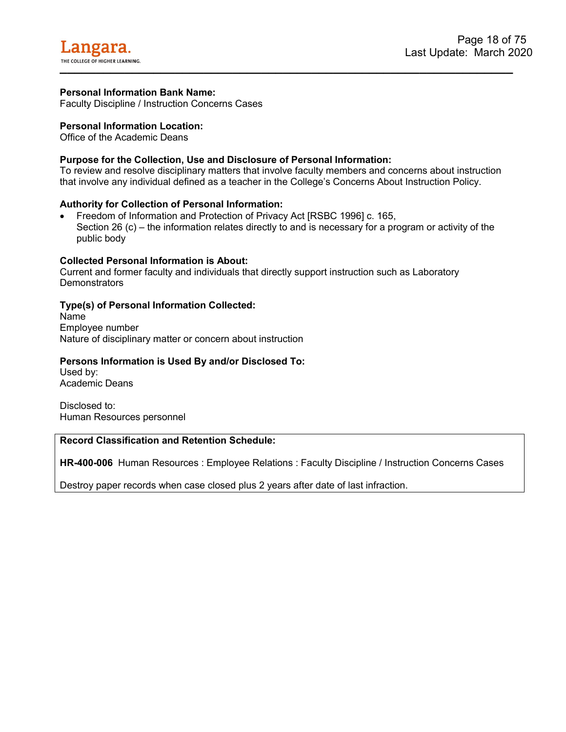<span id="page-18-0"></span>Faculty Discipline / Instruction Concerns Cases

#### **Personal Information Location:**

Office of the Academic Deans

#### **Purpose for the Collection, Use and Disclosure of Personal Information:**

To review and resolve disciplinary matters that involve faculty members and concerns about instruction that involve any individual defined as a teacher in the College's Concerns About Instruction Policy.

#### **Authority for Collection of Personal Information:**

• Freedom of Information and Protection of Privacy Act [RSBC 1996] c. 165, Section 26 (c) – the information relates directly to and is necessary for a program or activity of the public body

#### **Collected Personal Information is About:**

Current and former faculty and individuals that directly support instruction such as Laboratory **Demonstrators** 

#### **Type(s) of Personal Information Collected:**

Name Employee number Nature of disciplinary matter or concern about instruction

#### **Persons Information is Used By and/or Disclosed To:**

Used by: Academic Deans

Disclosed to: Human Resources personnel

#### **Record Classification and Retention Schedule:**

**HR-400-006** Human Resources : Employee Relations : Faculty Discipline / Instruction Concerns Cases

Destroy paper records when case closed plus 2 years after date of last infraction.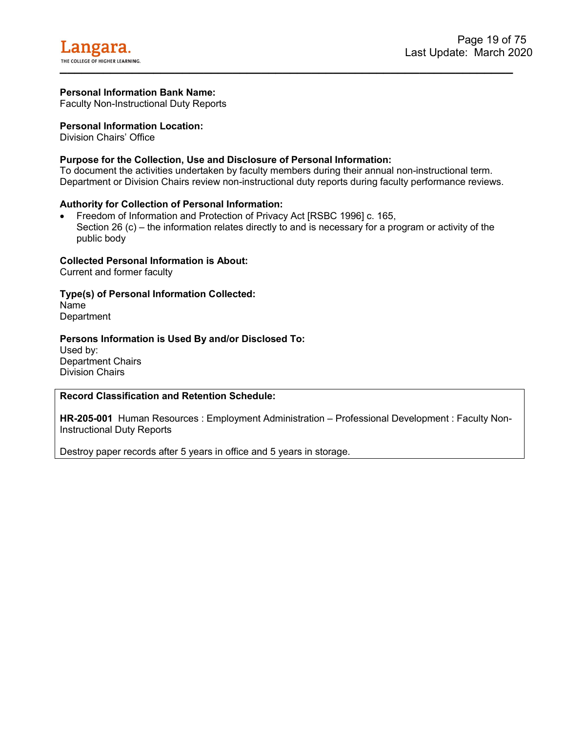<span id="page-19-0"></span>Faculty Non-Instructional Duty Reports

#### **Personal Information Location:**

Division Chairs' Office

#### **Purpose for the Collection, Use and Disclosure of Personal Information:**

To document the activities undertaken by faculty members during their annual non-instructional term. Department or Division Chairs review non-instructional duty reports during faculty performance reviews.

#### **Authority for Collection of Personal Information:**

• Freedom of Information and Protection of Privacy Act [RSBC 1996] c. 165, Section 26 (c) – the information relates directly to and is necessary for a program or activity of the public body

#### **Collected Personal Information is About:**

Current and former faculty

#### **Type(s) of Personal Information Collected:**

Name **Department** 

#### **Persons Information is Used By and/or Disclosed To:**

Used by: Department Chairs Division Chairs

#### **Record Classification and Retention Schedule:**

**HR-205-001** Human Resources : Employment Administration – Professional Development : Faculty Non-Instructional Duty Reports

Destroy paper records after 5 years in office and 5 years in storage.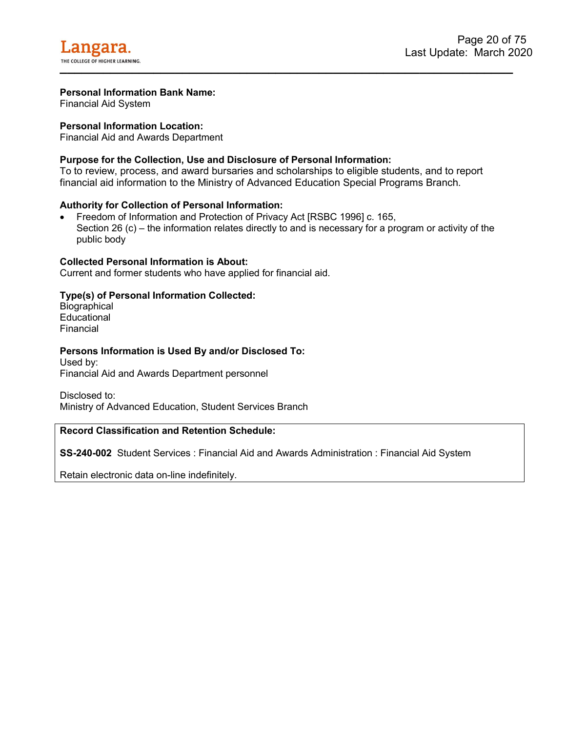<span id="page-20-0"></span>Financial Aid System

#### **Personal Information Location:**

Financial Aid and Awards Department

#### **Purpose for the Collection, Use and Disclosure of Personal Information:**

To to review, process, and award bursaries and scholarships to eligible students, and to report financial aid information to the Ministry of Advanced Education Special Programs Branch.

#### **Authority for Collection of Personal Information:**

• Freedom of Information and Protection of Privacy Act [RSBC 1996] c. 165, Section 26 (c) – the information relates directly to and is necessary for a program or activity of the public body

#### **Collected Personal Information is About:**

Current and former students who have applied for financial aid.

#### **Type(s) of Personal Information Collected:**

**Biographical Educational** Financial

#### **Persons Information is Used By and/or Disclosed To:**

Used by: Financial Aid and Awards Department personnel

Disclosed to: Ministry of Advanced Education, Student Services Branch

#### **Record Classification and Retention Schedule:**

**SS-240-002** Student Services : Financial Aid and Awards Administration : Financial Aid System

Retain electronic data on-line indefinitely.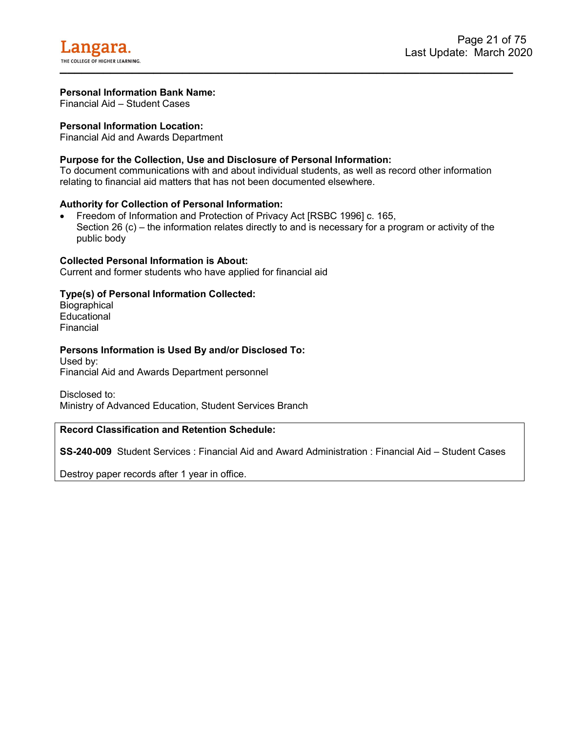<span id="page-21-0"></span>Financial Aid – Student Cases

#### **Personal Information Location:**

Financial Aid and Awards Department

#### **Purpose for the Collection, Use and Disclosure of Personal Information:**

To document communications with and about individual students, as well as record other information relating to financial aid matters that has not been documented elsewhere.

#### **Authority for Collection of Personal Information:**

• Freedom of Information and Protection of Privacy Act [RSBC 1996] c. 165, Section 26 (c) – the information relates directly to and is necessary for a program or activity of the public body

#### **Collected Personal Information is About:**

Current and former students who have applied for financial aid

#### **Type(s) of Personal Information Collected:**

**Biographical** Educational Financial

#### **Persons Information is Used By and/or Disclosed To:**

Used by: Financial Aid and Awards Department personnel

Disclosed to: Ministry of Advanced Education, Student Services Branch

#### **Record Classification and Retention Schedule:**

**SS-240-009** Student Services : Financial Aid and Award Administration : Financial Aid – Student Cases

Destroy paper records after 1 year in office.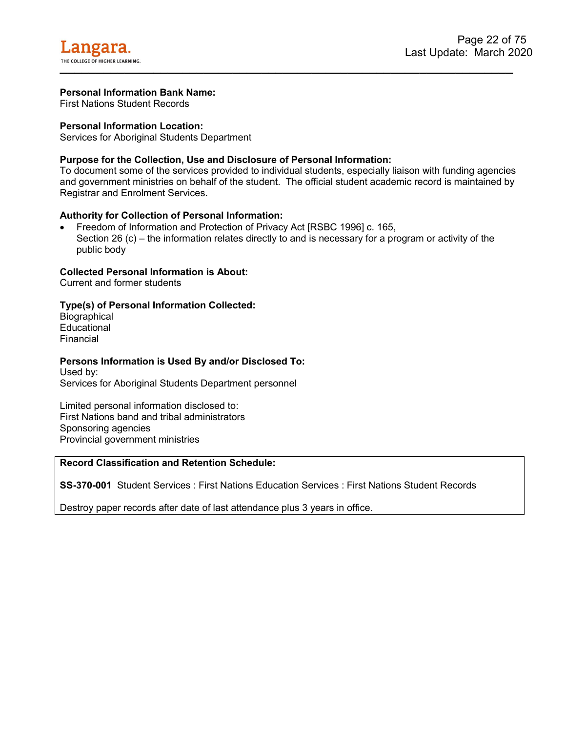<span id="page-22-0"></span>First Nations Student Records

#### **Personal Information Location:**

Services for Aboriginal Students Department

#### **Purpose for the Collection, Use and Disclosure of Personal Information:**

To document some of the services provided to individual students, especially liaison with funding agencies and government ministries on behalf of the student. The official student academic record is maintained by Registrar and Enrolment Services.

#### **Authority for Collection of Personal Information:**

• Freedom of Information and Protection of Privacy Act [RSBC 1996] c. 165, Section 26 (c) – the information relates directly to and is necessary for a program or activity of the public body

#### **Collected Personal Information is About:**

Current and former students

#### **Type(s) of Personal Information Collected:**

**Biographical Educational** Financial

#### **Persons Information is Used By and/or Disclosed To:**

Used by: Services for Aboriginal Students Department personnel

Limited personal information disclosed to: First Nations band and tribal administrators Sponsoring agencies Provincial government ministries

#### **Record Classification and Retention Schedule:**

**SS-370-001** Student Services : First Nations Education Services : First Nations Student Records

Destroy paper records after date of last attendance plus 3 years in office.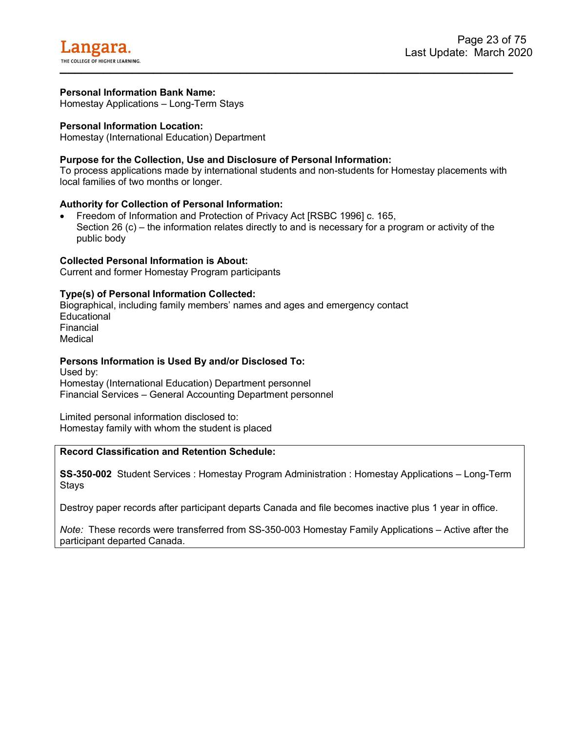<span id="page-23-0"></span>Homestay Applications – Long-Term Stays

#### **Personal Information Location:**

Homestay (International Education) Department

#### **Purpose for the Collection, Use and Disclosure of Personal Information:**

To process applications made by international students and non-students for Homestay placements with local families of two months or longer.

#### **Authority for Collection of Personal Information:**

• Freedom of Information and Protection of Privacy Act [RSBC 1996] c. 165, Section 26 (c) – the information relates directly to and is necessary for a program or activity of the public body

#### **Collected Personal Information is About:**

Current and former Homestay Program participants

#### **Type(s) of Personal Information Collected:**

Biographical, including family members' names and ages and emergency contact **Educational** Financial Medical

#### **Persons Information is Used By and/or Disclosed To:**

Used by: Homestay (International Education) Department personnel Financial Services – General Accounting Department personnel

Limited personal information disclosed to: Homestay family with whom the student is placed

#### **Record Classification and Retention Schedule:**

**SS-350-002** Student Services : Homestay Program Administration : Homestay Applications – Long-Term Stays

Destroy paper records after participant departs Canada and file becomes inactive plus 1 year in office.

*Note:* These records were transferred from SS-350-003 Homestay Family Applications – Active after the participant departed Canada.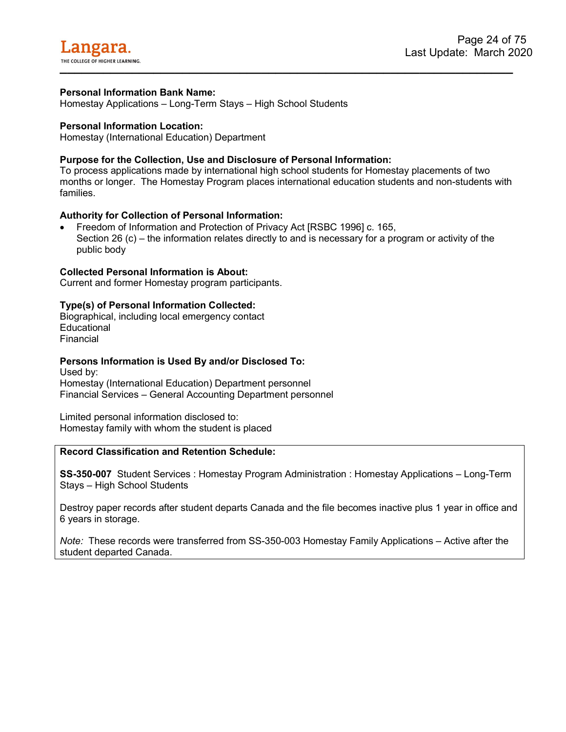<span id="page-24-0"></span>Homestay Applications – Long-Term Stays – High School Students

#### **Personal Information Location:**

Homestay (International Education) Department

#### **Purpose for the Collection, Use and Disclosure of Personal Information:**

To process applications made by international high school students for Homestay placements of two months or longer. The Homestay Program places international education students and non-students with families.

#### **Authority for Collection of Personal Information:**

• Freedom of Information and Protection of Privacy Act [RSBC 1996] c. 165, Section 26 (c) – the information relates directly to and is necessary for a program or activity of the public body

#### **Collected Personal Information is About:**

Current and former Homestay program participants.

#### **Type(s) of Personal Information Collected:**

Biographical, including local emergency contact **Educational** Financial

#### **Persons Information is Used By and/or Disclosed To:**

Used by: Homestay (International Education) Department personnel Financial Services – General Accounting Department personnel

Limited personal information disclosed to: Homestay family with whom the student is placed

#### **Record Classification and Retention Schedule:**

**SS-350-007** Student Services : Homestay Program Administration : Homestay Applications – Long-Term Stays – High School Students

Destroy paper records after student departs Canada and the file becomes inactive plus 1 year in office and 6 years in storage.

*Note:* These records were transferred from SS-350-003 Homestay Family Applications – Active after the student departed Canada.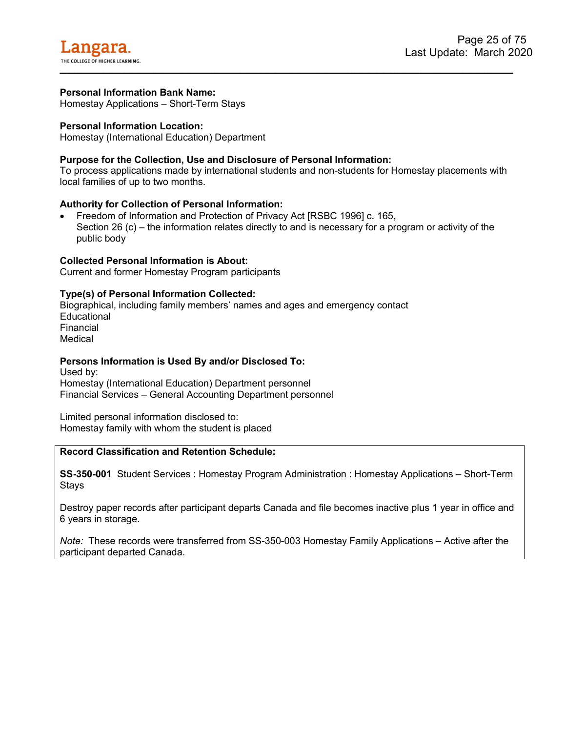<span id="page-25-0"></span>Homestay Applications – Short-Term Stays

#### **Personal Information Location:**

Homestay (International Education) Department

#### **Purpose for the Collection, Use and Disclosure of Personal Information:**

To process applications made by international students and non-students for Homestay placements with local families of up to two months.

#### **Authority for Collection of Personal Information:**

• Freedom of Information and Protection of Privacy Act [RSBC 1996] c. 165, Section 26 (c) – the information relates directly to and is necessary for a program or activity of the public body

#### **Collected Personal Information is About:**

Current and former Homestay Program participants

#### **Type(s) of Personal Information Collected:**

Biographical, including family members' names and ages and emergency contact **Educational** Financial Medical

#### **Persons Information is Used By and/or Disclosed To:**

Used by: Homestay (International Education) Department personnel Financial Services – General Accounting Department personnel

Limited personal information disclosed to: Homestay family with whom the student is placed

#### **Record Classification and Retention Schedule:**

**SS-350-001** Student Services : Homestay Program Administration : Homestay Applications – Short-Term Stays

Destroy paper records after participant departs Canada and file becomes inactive plus 1 year in office and 6 years in storage.

*Note:* These records were transferred from SS-350-003 Homestay Family Applications – Active after the participant departed Canada.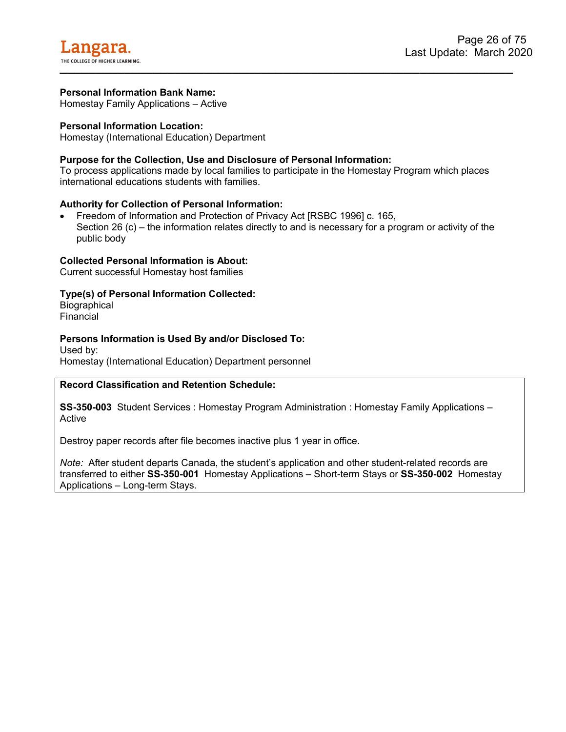<span id="page-26-0"></span>Homestay Family Applications – Active

#### **Personal Information Location:**

Homestay (International Education) Department

#### **Purpose for the Collection, Use and Disclosure of Personal Information:**

To process applications made by local families to participate in the Homestay Program which places international educations students with families.

#### **Authority for Collection of Personal Information:**

• Freedom of Information and Protection of Privacy Act [RSBC 1996] c. 165, Section 26 (c) – the information relates directly to and is necessary for a program or activity of the public body

#### **Collected Personal Information is About:**

Current successful Homestay host families

#### **Type(s) of Personal Information Collected:**

**Biographical** Financial

#### **Persons Information is Used By and/or Disclosed To:**

Used by: Homestay (International Education) Department personnel

#### **Record Classification and Retention Schedule:**

**SS-350-003** Student Services : Homestay Program Administration : Homestay Family Applications – Active

Destroy paper records after file becomes inactive plus 1 year in office.

*Note:* After student departs Canada, the student's application and other student-related records are transferred to either **SS-350-001** Homestay Applications – Short-term Stays or **SS-350-002** Homestay Applications – Long-term Stays.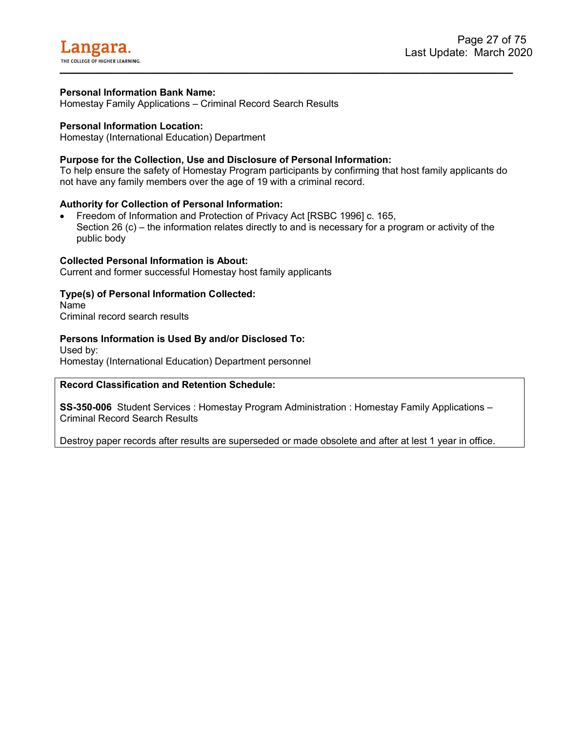<span id="page-27-0"></span>Homestay Family Applications – Criminal Record Search Results

#### **Personal Information Location:**

Homestay (International Education) Department

#### **Purpose for the Collection, Use and Disclosure of Personal Information:**

To help ensure the safety of Homestay Program participants by confirming that host family applicants do not have any family members over the age of 19 with a criminal record.

#### **Authority for Collection of Personal Information:**

• Freedom of Information and Protection of Privacy Act [RSBC 1996] c. 165, Section 26 (c) – the information relates directly to and is necessary for a program or activity of the public body

#### **Collected Personal Information is About:**

Current and former successful Homestay host family applicants

#### **Type(s) of Personal Information Collected:**

Name Criminal record search results

#### **Persons Information is Used By and/or Disclosed To:**

Used by: Homestay (International Education) Department personnel

#### **Record Classification and Retention Schedule:**

**SS-350-006** Student Services : Homestay Program Administration : Homestay Family Applications – Criminal Record Search Results

Destroy paper records after results are superseded or made obsolete and after at lest 1 year in office.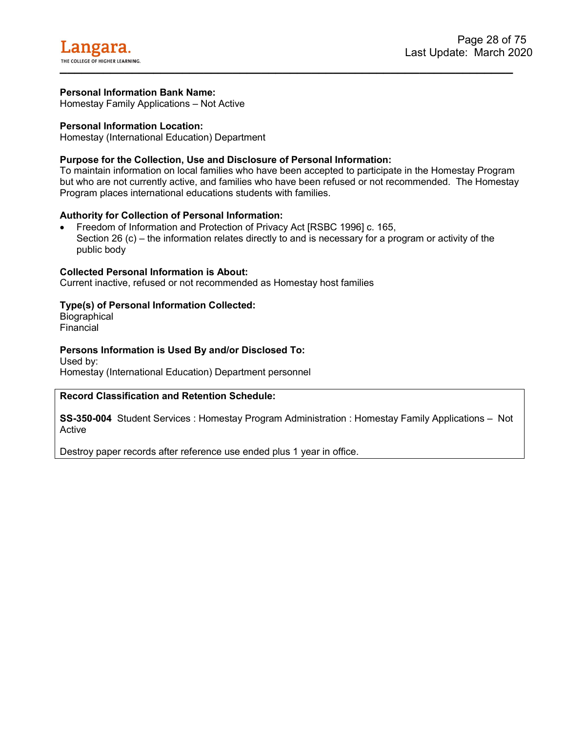<span id="page-28-0"></span>Homestay Family Applications – Not Active

#### **Personal Information Location:**

Homestay (International Education) Department

#### **Purpose for the Collection, Use and Disclosure of Personal Information:**

To maintain information on local families who have been accepted to participate in the Homestay Program but who are not currently active, and families who have been refused or not recommended. The Homestay Program places international educations students with families.

#### **Authority for Collection of Personal Information:**

• Freedom of Information and Protection of Privacy Act [RSBC 1996] c. 165, Section 26 (c) – the information relates directly to and is necessary for a program or activity of the public body

#### **Collected Personal Information is About:**

Current inactive, refused or not recommended as Homestay host families

#### **Type(s) of Personal Information Collected:**

**Biographical** Financial

#### **Persons Information is Used By and/or Disclosed To:**

Used by: Homestay (International Education) Department personnel

#### **Record Classification and Retention Schedule:**

**SS-350-004** Student Services : Homestay Program Administration : Homestay Family Applications – Not Active

Destroy paper records after reference use ended plus 1 year in office.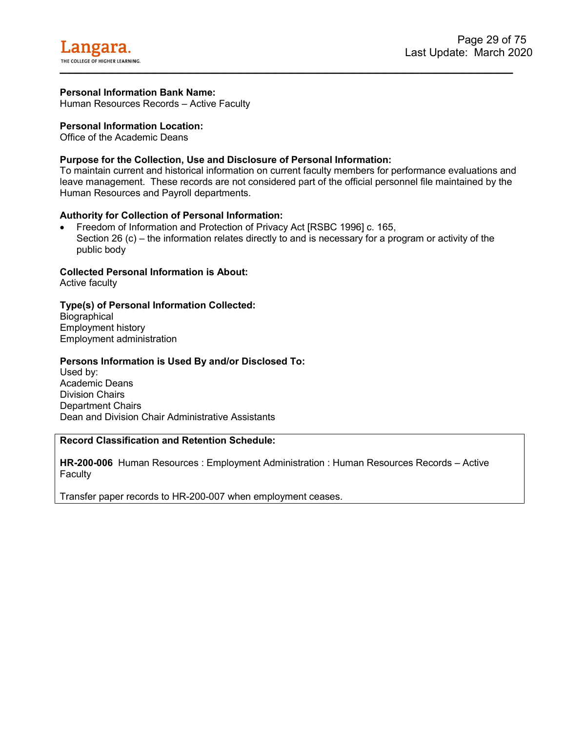<span id="page-29-0"></span>Human Resources Records – Active Faculty

#### **Personal Information Location:**

Office of the Academic Deans

#### **Purpose for the Collection, Use and Disclosure of Personal Information:**

To maintain current and historical information on current faculty members for performance evaluations and leave management. These records are not considered part of the official personnel file maintained by the Human Resources and Payroll departments.

#### **Authority for Collection of Personal Information:**

• Freedom of Information and Protection of Privacy Act [RSBC 1996] c. 165, Section 26 (c) – the information relates directly to and is necessary for a program or activity of the public body

#### **Collected Personal Information is About:**

Active faculty

#### **Type(s) of Personal Information Collected:**

**Biographical** Employment history Employment administration

#### **Persons Information is Used By and/or Disclosed To:**

Used by: Academic Deans Division Chairs Department Chairs Dean and Division Chair Administrative Assistants

#### **Record Classification and Retention Schedule:**

**HR-200-006** Human Resources : Employment Administration : Human Resources Records – Active **Faculty** 

Transfer paper records to HR-200-007 when employment ceases.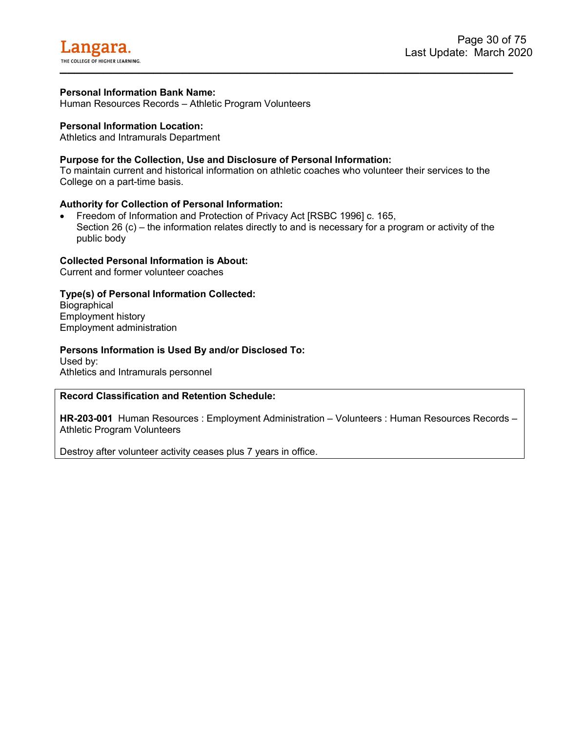

<span id="page-30-0"></span>Human Resources Records – Athletic Program Volunteers

#### **Personal Information Location:**

Athletics and Intramurals Department

#### **Purpose for the Collection, Use and Disclosure of Personal Information:**

To maintain current and historical information on athletic coaches who volunteer their services to the College on a part-time basis.

#### **Authority for Collection of Personal Information:**

• Freedom of Information and Protection of Privacy Act [RSBC 1996] c. 165, Section 26 (c) – the information relates directly to and is necessary for a program or activity of the public body

#### **Collected Personal Information is About:**

Current and former volunteer coaches

#### **Type(s) of Personal Information Collected:**

**Biographical** Employment history Employment administration

#### **Persons Information is Used By and/or Disclosed To:**

Used by: Athletics and Intramurals personnel

#### **Record Classification and Retention Schedule:**

**HR-203-001** Human Resources : Employment Administration – Volunteers : Human Resources Records – Athletic Program Volunteers

Destroy after volunteer activity ceases plus 7 years in office.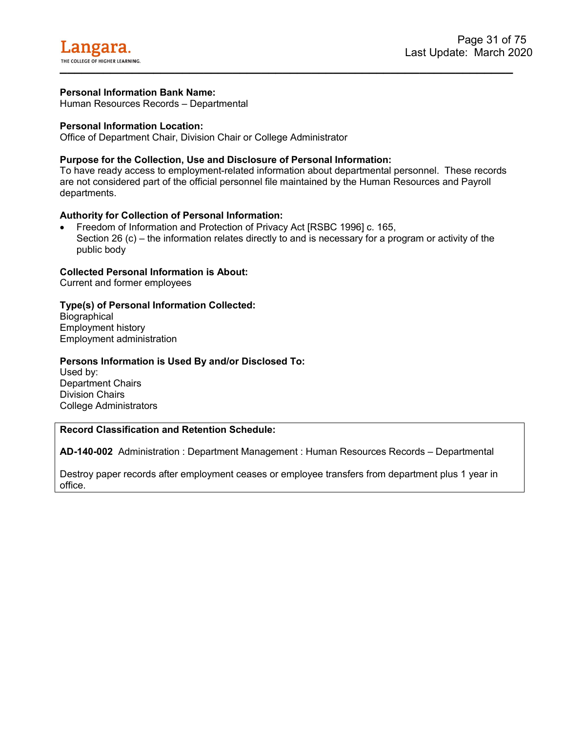<span id="page-31-0"></span>Human Resources Records – Departmental

#### **Personal Information Location:**

Office of Department Chair, Division Chair or College Administrator

#### **Purpose for the Collection, Use and Disclosure of Personal Information:**

To have ready access to employment-related information about departmental personnel. These records are not considered part of the official personnel file maintained by the Human Resources and Payroll departments.

#### **Authority for Collection of Personal Information:**

• Freedom of Information and Protection of Privacy Act [RSBC 1996] c. 165, Section 26 (c) – the information relates directly to and is necessary for a program or activity of the public body

#### **Collected Personal Information is About:**

Current and former employees

#### **Type(s) of Personal Information Collected:**

**Biographical** Employment history Employment administration

#### **Persons Information is Used By and/or Disclosed To:**

Used by: Department Chairs Division Chairs College Administrators

#### **Record Classification and Retention Schedule:**

**AD-140-002** Administration : Department Management : Human Resources Records – Departmental

Destroy paper records after employment ceases or employee transfers from department plus 1 year in office.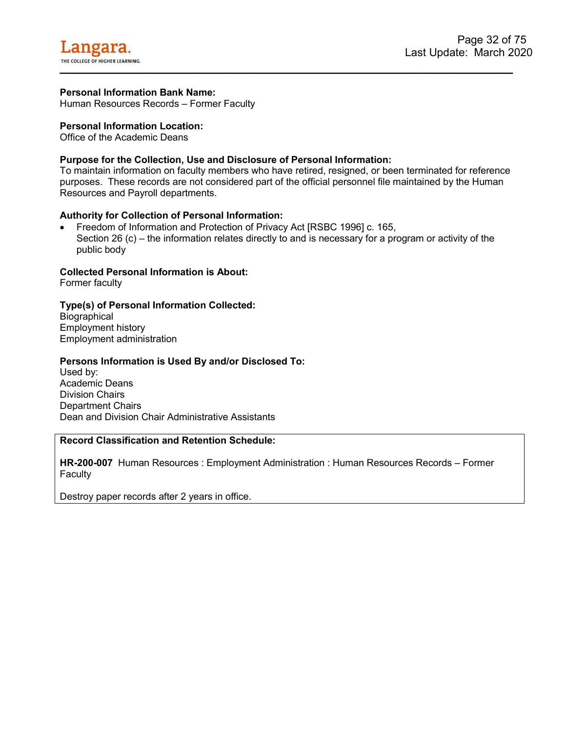<span id="page-32-0"></span>Human Resources Records – Former Faculty

#### **Personal Information Location:**

Office of the Academic Deans

#### **Purpose for the Collection, Use and Disclosure of Personal Information:**

To maintain information on faculty members who have retired, resigned, or been terminated for reference purposes. These records are not considered part of the official personnel file maintained by the Human Resources and Payroll departments.

#### **Authority for Collection of Personal Information:**

• Freedom of Information and Protection of Privacy Act [RSBC 1996] c. 165, Section 26 (c) – the information relates directly to and is necessary for a program or activity of the public body

#### **Collected Personal Information is About:**

Former faculty

#### **Type(s) of Personal Information Collected:**

**Biographical** Employment history Employment administration

#### **Persons Information is Used By and/or Disclosed To:**

Used by: Academic Deans Division Chairs Department Chairs Dean and Division Chair Administrative Assistants

#### **Record Classification and Retention Schedule:**

**HR-200-007** Human Resources : Employment Administration : Human Resources Records – Former **Faculty** 

Destroy paper records after 2 years in office.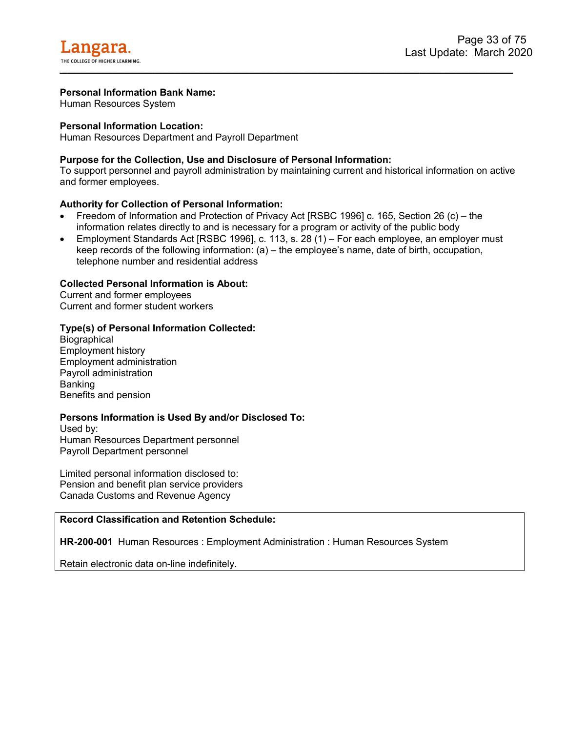<span id="page-33-0"></span>Human Resources System

#### **Personal Information Location:**

Human Resources Department and Payroll Department

#### **Purpose for the Collection, Use and Disclosure of Personal Information:**

To support personnel and payroll administration by maintaining current and historical information on active and former employees.

#### **Authority for Collection of Personal Information:**

- Freedom of Information and Protection of Privacy Act [RSBC 1996] c. 165, Section 26 (c) the information relates directly to and is necessary for a program or activity of the public body
- Employment Standards Act [RSBC 1996], c. 113, s. 28 (1) For each employee, an employer must keep records of the following information: (a) – the employee's name, date of birth, occupation, telephone number and residential address

#### **Collected Personal Information is About:**

Current and former employees Current and former student workers

#### **Type(s) of Personal Information Collected:**

**Biographical** Employment history Employment administration Payroll administration Banking Benefits and pension

#### **Persons Information is Used By and/or Disclosed To:**

Used by: Human Resources Department personnel Payroll Department personnel

Limited personal information disclosed to: Pension and benefit plan service providers Canada Customs and Revenue Agency

#### **Record Classification and Retention Schedule:**

**HR-200-001** Human Resources : Employment Administration : Human Resources System

Retain electronic data on-line indefinitely.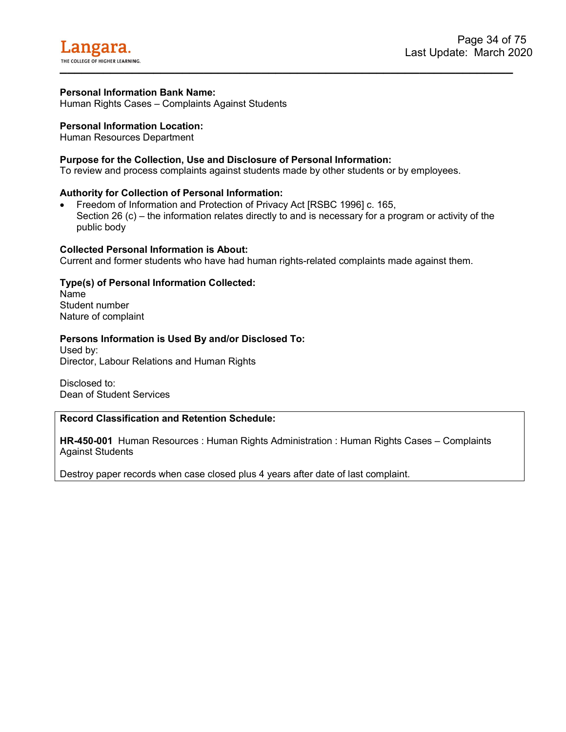<span id="page-34-0"></span>Human Rights Cases – Complaints Against Students

#### **Personal Information Location:**

Human Resources Department

#### **Purpose for the Collection, Use and Disclosure of Personal Information:**

To review and process complaints against students made by other students or by employees.

#### **Authority for Collection of Personal Information:**

• Freedom of Information and Protection of Privacy Act [RSBC 1996] c. 165, Section 26 (c) – the information relates directly to and is necessary for a program or activity of the public body

**\_\_\_\_\_\_\_\_\_\_\_\_\_\_\_\_\_\_\_\_\_\_\_\_\_\_\_\_\_\_\_\_\_\_\_\_\_\_\_\_\_\_\_\_\_\_\_\_\_\_\_\_\_\_\_\_\_\_\_\_\_\_\_** 

#### **Collected Personal Information is About:**

Current and former students who have had human rights-related complaints made against them.

#### **Type(s) of Personal Information Collected:**

Name Student number Nature of complaint

#### **Persons Information is Used By and/or Disclosed To:**

Used by: Director, Labour Relations and Human Rights

Disclosed to: Dean of Student Services

#### **Record Classification and Retention Schedule:**

**HR-450-001** Human Resources : Human Rights Administration : Human Rights Cases – Complaints Against Students

Destroy paper records when case closed plus 4 years after date of last complaint.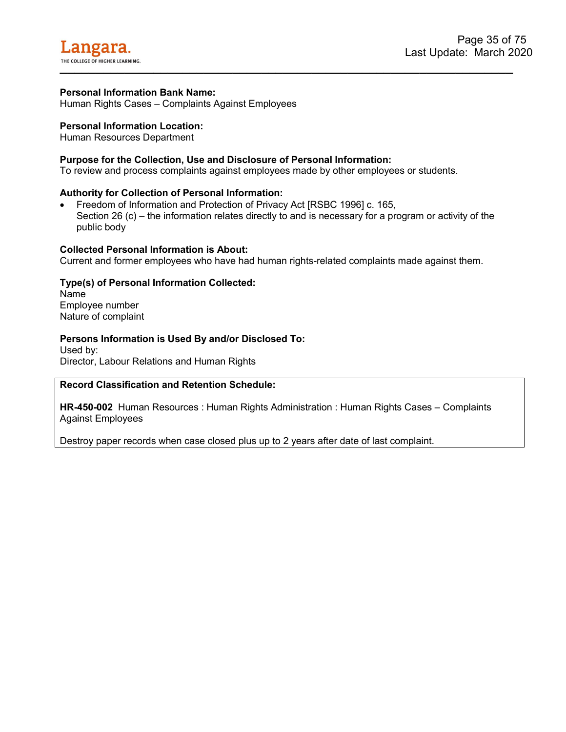

<span id="page-35-0"></span>Human Rights Cases – Complaints Against Employees

#### **Personal Information Location:**

Human Resources Department

#### **Purpose for the Collection, Use and Disclosure of Personal Information:**

To review and process complaints against employees made by other employees or students.

#### **Authority for Collection of Personal Information:**

• Freedom of Information and Protection of Privacy Act [RSBC 1996] c. 165, Section 26 (c) – the information relates directly to and is necessary for a program or activity of the public body

#### **Collected Personal Information is About:**

Current and former employees who have had human rights-related complaints made against them.

#### **Type(s) of Personal Information Collected:**

Name Employee number Nature of complaint

#### **Persons Information is Used By and/or Disclosed To:**

Used by: Director, Labour Relations and Human Rights

#### **Record Classification and Retention Schedule:**

**HR-450-002** Human Resources : Human Rights Administration : Human Rights Cases – Complaints Against Employees

Destroy paper records when case closed plus up to 2 years after date of last complaint.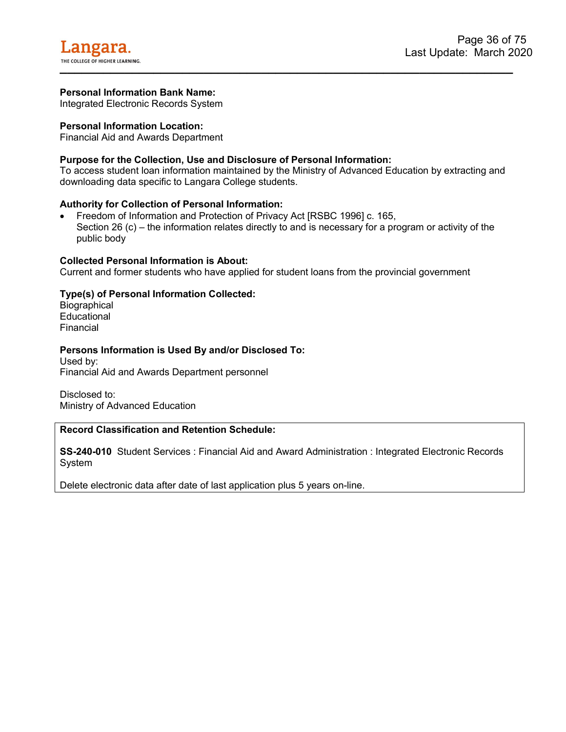Integrated Electronic Records System

### **Personal Information Location:**

Financial Aid and Awards Department

### **Purpose for the Collection, Use and Disclosure of Personal Information:**

To access student loan information maintained by the Ministry of Advanced Education by extracting and downloading data specific to Langara College students.

#### **Authority for Collection of Personal Information:**

• Freedom of Information and Protection of Privacy Act [RSBC 1996] c. 165, Section 26 (c) – the information relates directly to and is necessary for a program or activity of the public body

#### **Collected Personal Information is About:**

Current and former students who have applied for student loans from the provincial government

### **Type(s) of Personal Information Collected:**

**Biographical** Educational Financial

#### **Persons Information is Used By and/or Disclosed To:**

Used by: Financial Aid and Awards Department personnel

Disclosed to: Ministry of Advanced Education

# **Record Classification and Retention Schedule:**

**SS-240-010** Student Services : Financial Aid and Award Administration : Integrated Electronic Records System

Delete electronic data after date of last application plus 5 years on-line.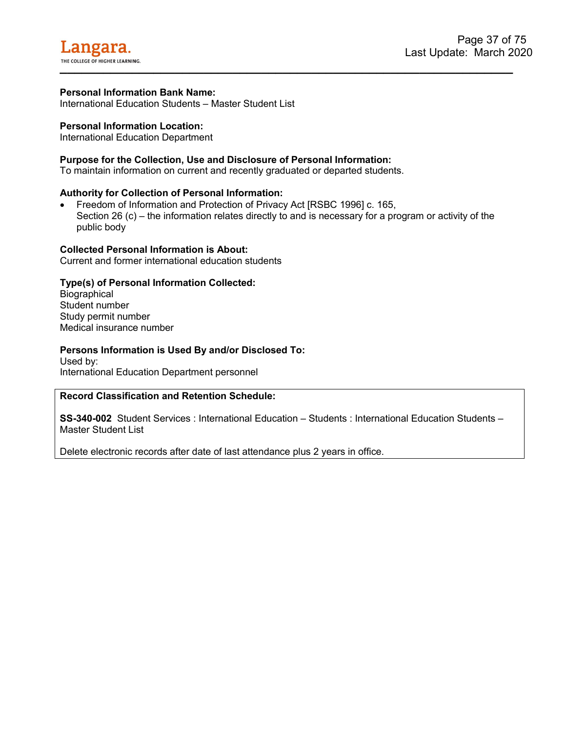International Education Students – Master Student List

### **Personal Information Location:**

International Education Department

#### **Purpose for the Collection, Use and Disclosure of Personal Information:**

To maintain information on current and recently graduated or departed students.

#### **Authority for Collection of Personal Information:**

• Freedom of Information and Protection of Privacy Act [RSBC 1996] c. 165, Section 26 (c) – the information relates directly to and is necessary for a program or activity of the public body

#### **Collected Personal Information is About:**

Current and former international education students

#### **Type(s) of Personal Information Collected:**

**Biographical** Student number Study permit number Medical insurance number

#### **Persons Information is Used By and/or Disclosed To:**

Used by: International Education Department personnel

#### **Record Classification and Retention Schedule:**

**SS-340-002** Student Services : International Education – Students : International Education Students – Master Student List

Delete electronic records after date of last attendance plus 2 years in office.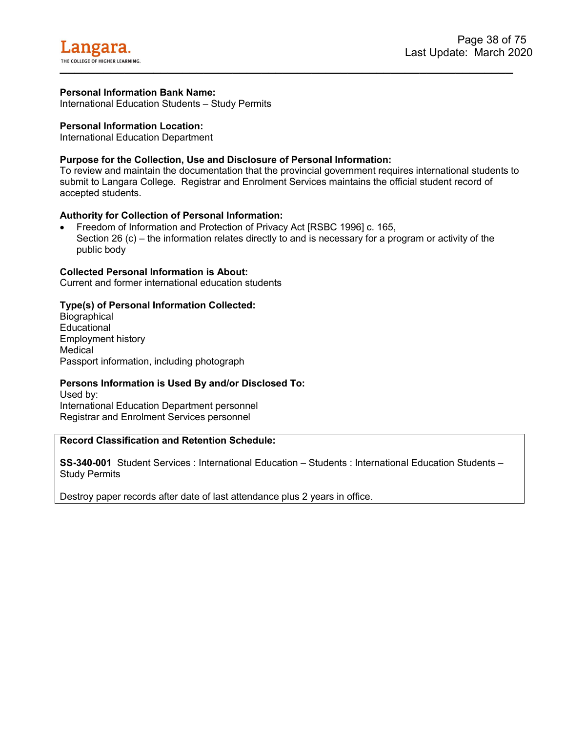International Education Students – Study Permits

### **Personal Information Location:**

International Education Department

## **Purpose for the Collection, Use and Disclosure of Personal Information:**

To review and maintain the documentation that the provincial government requires international students to submit to Langara College. Registrar and Enrolment Services maintains the official student record of accepted students.

### **Authority for Collection of Personal Information:**

• Freedom of Information and Protection of Privacy Act [RSBC 1996] c. 165, Section 26 (c) – the information relates directly to and is necessary for a program or activity of the public body

### **Collected Personal Information is About:**

Current and former international education students

## **Type(s) of Personal Information Collected:**

**Biographical Educational** Employment history Medical Passport information, including photograph

### **Persons Information is Used By and/or Disclosed To:**

Used by: International Education Department personnel Registrar and Enrolment Services personnel

### **Record Classification and Retention Schedule:**

**SS-340-001** Student Services : International Education – Students : International Education Students – Study Permits

Destroy paper records after date of last attendance plus 2 years in office.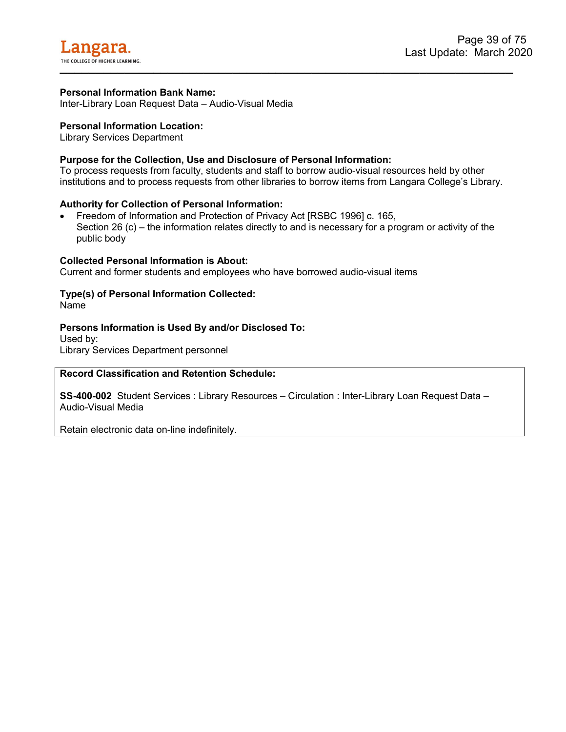Inter-Library Loan Request Data – Audio-Visual Media

### **Personal Information Location:**

Library Services Department

## **Purpose for the Collection, Use and Disclosure of Personal Information:**

To process requests from faculty, students and staff to borrow audio-visual resources held by other institutions and to process requests from other libraries to borrow items from Langara College's Library.

### **Authority for Collection of Personal Information:**

• Freedom of Information and Protection of Privacy Act [RSBC 1996] c. 165, Section 26 (c) – the information relates directly to and is necessary for a program or activity of the public body

#### **Collected Personal Information is About:**

Current and former students and employees who have borrowed audio-visual items

# **Type(s) of Personal Information Collected:**

Name

### **Persons Information is Used By and/or Disclosed To:**

Used by: Library Services Department personnel

### **Record Classification and Retention Schedule:**

**SS-400-002** Student Services : Library Resources – Circulation : Inter-Library Loan Request Data – Audio-Visual Media

Retain electronic data on-line indefinitely.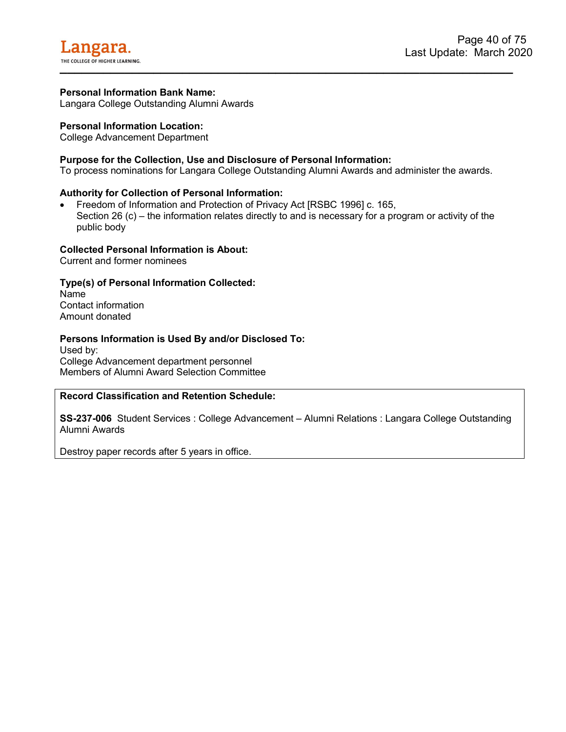Langara College Outstanding Alumni Awards

### **Personal Information Location:**

College Advancement Department

### **Purpose for the Collection, Use and Disclosure of Personal Information:**

To process nominations for Langara College Outstanding Alumni Awards and administer the awards.

### **Authority for Collection of Personal Information:**

• Freedom of Information and Protection of Privacy Act [RSBC 1996] c. 165, Section 26 (c) – the information relates directly to and is necessary for a program or activity of the public body

#### **Collected Personal Information is About:**

Current and former nominees

### **Type(s) of Personal Information Collected:**

Name Contact information Amount donated

### **Persons Information is Used By and/or Disclosed To:**

Used by: College Advancement department personnel Members of Alumni Award Selection Committee

#### **Record Classification and Retention Schedule:**

**SS-237-006** Student Services : College Advancement – Alumni Relations : Langara College Outstanding Alumni Awards

Destroy paper records after 5 years in office.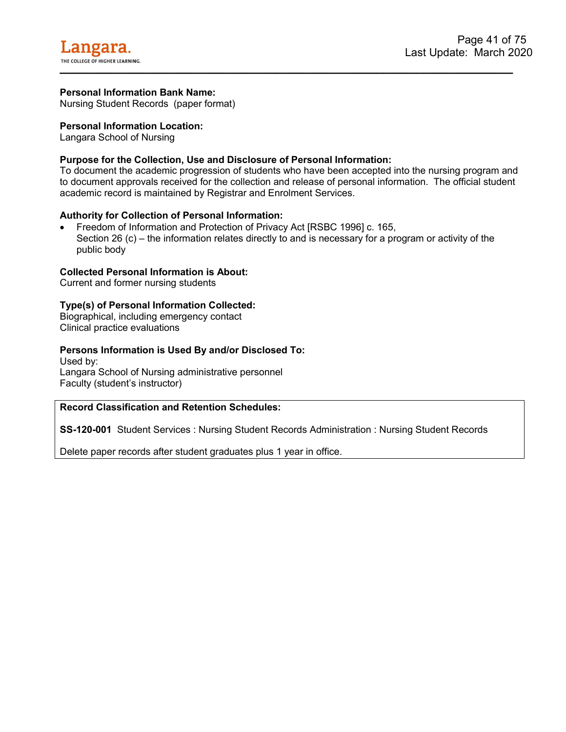Nursing Student Records (paper format)

### **Personal Information Location:**

Langara School of Nursing

## **Purpose for the Collection, Use and Disclosure of Personal Information:**

To document the academic progression of students who have been accepted into the nursing program and to document approvals received for the collection and release of personal information. The official student academic record is maintained by Registrar and Enrolment Services.

### **Authority for Collection of Personal Information:**

• Freedom of Information and Protection of Privacy Act [RSBC 1996] c. 165, Section 26 (c) – the information relates directly to and is necessary for a program or activity of the public body

## **Collected Personal Information is About:**

Current and former nursing students

## **Type(s) of Personal Information Collected:**

Biographical, including emergency contact Clinical practice evaluations

## **Persons Information is Used By and/or Disclosed To:**

Used by: Langara School of Nursing administrative personnel Faculty (student's instructor)

### **Record Classification and Retention Schedules:**

**SS-120-001** Student Services : Nursing Student Records Administration : Nursing Student Records

Delete paper records after student graduates plus 1 year in office.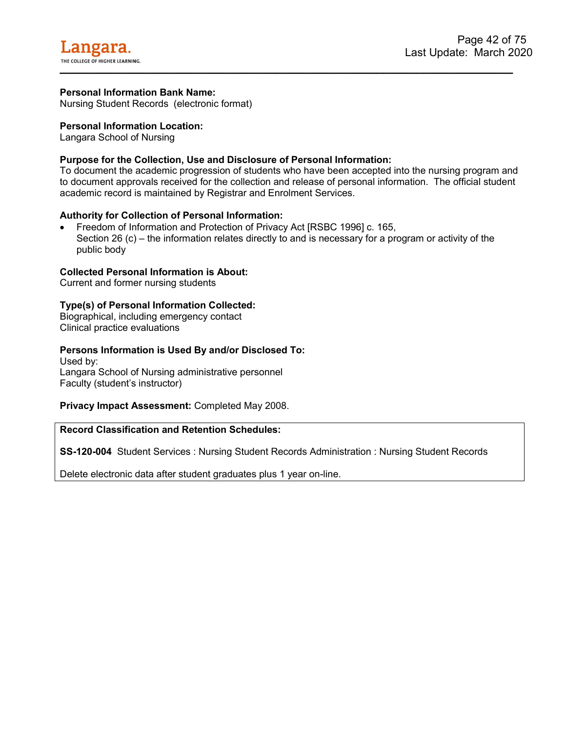Nursing Student Records (electronic format)

## **Personal Information Location:**

Langara School of Nursing

# **Purpose for the Collection, Use and Disclosure of Personal Information:**

To document the academic progression of students who have been accepted into the nursing program and to document approvals received for the collection and release of personal information. The official student academic record is maintained by Registrar and Enrolment Services.

## **Authority for Collection of Personal Information:**

• Freedom of Information and Protection of Privacy Act [RSBC 1996] c. 165, Section 26 (c) – the information relates directly to and is necessary for a program or activity of the public body

## **Collected Personal Information is About:**

Current and former nursing students

## **Type(s) of Personal Information Collected:**

Biographical, including emergency contact Clinical practice evaluations

## **Persons Information is Used By and/or Disclosed To:**

Used by: Langara School of Nursing administrative personnel Faculty (student's instructor)

### **Privacy Impact Assessment:** Completed May 2008.

## **Record Classification and Retention Schedules:**

**SS-120-004** Student Services : Nursing Student Records Administration : Nursing Student Records

Delete electronic data after student graduates plus 1 year on-line.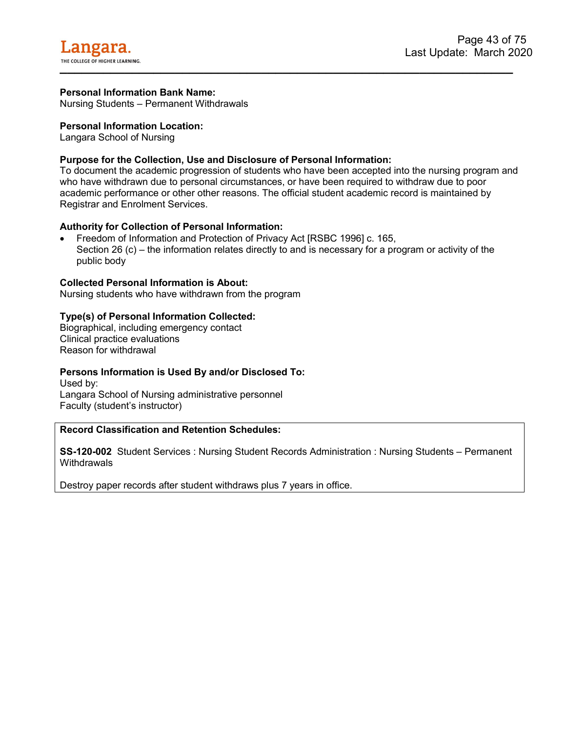Nursing Students – Permanent Withdrawals

### **Personal Information Location:**

Langara School of Nursing

## **Purpose for the Collection, Use and Disclosure of Personal Information:**

To document the academic progression of students who have been accepted into the nursing program and who have withdrawn due to personal circumstances, or have been required to withdraw due to poor academic performance or other other reasons. The official student academic record is maintained by Registrar and Enrolment Services.

## **Authority for Collection of Personal Information:**

• Freedom of Information and Protection of Privacy Act [RSBC 1996] c. 165, Section 26 (c) – the information relates directly to and is necessary for a program or activity of the public body

### **Collected Personal Information is About:**

Nursing students who have withdrawn from the program

### **Type(s) of Personal Information Collected:**

Biographical, including emergency contact Clinical practice evaluations Reason for withdrawal

### **Persons Information is Used By and/or Disclosed To:**

Used by: Langara School of Nursing administrative personnel Faculty (student's instructor)

# **Record Classification and Retention Schedules:**

**SS-120-002** Student Services : Nursing Student Records Administration : Nursing Students – Permanent **Withdrawals** 

Destroy paper records after student withdraws plus 7 years in office.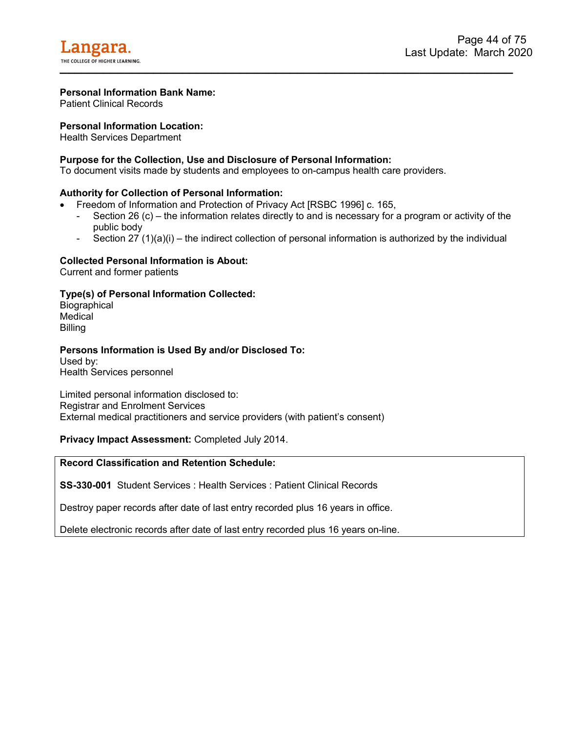Patient Clinical Records

## **Personal Information Location:**

Health Services Department

## **Purpose for the Collection, Use and Disclosure of Personal Information:**

To document visits made by students and employees to on-campus health care providers.

### **Authority for Collection of Personal Information:**

- Freedom of Information and Protection of Privacy Act [RSBC 1996] c. 165,
	- Section 26 (c) the information relates directly to and is necessary for a program or activity of the public body
	- Section 27 (1)(a)(i) the indirect collection of personal information is authorized by the individual

## **Collected Personal Information is About:**

Current and former patients

## **Type(s) of Personal Information Collected:**

**Biographical Medical** Billing

### **Persons Information is Used By and/or Disclosed To:**

Used by: Health Services personnel

Limited personal information disclosed to: Registrar and Enrolment Services External medical practitioners and service providers (with patient's consent)

### **Privacy Impact Assessment:** Completed July 2014.

# **Record Classification and Retention Schedule:**

**SS-330-001** Student Services : Health Services : Patient Clinical Records

Destroy paper records after date of last entry recorded plus 16 years in office.

Delete electronic records after date of last entry recorded plus 16 years on-line.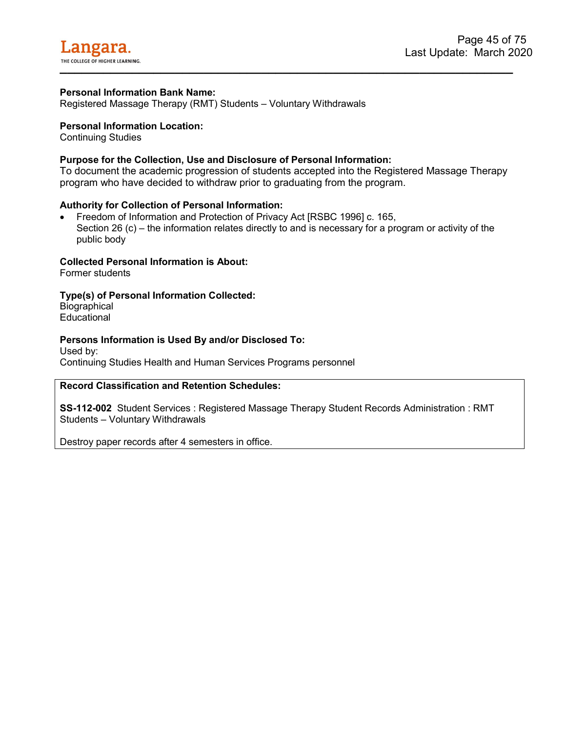Registered Massage Therapy (RMT) Students – Voluntary Withdrawals

### **Personal Information Location:**

Continuing Studies

## **Purpose for the Collection, Use and Disclosure of Personal Information:**

To document the academic progression of students accepted into the Registered Massage Therapy program who have decided to withdraw prior to graduating from the program.

### **Authority for Collection of Personal Information:**

• Freedom of Information and Protection of Privacy Act [RSBC 1996] c. 165, Section 26 (c) – the information relates directly to and is necessary for a program or activity of the public body

## **Collected Personal Information is About:**

Former students

**Type(s) of Personal Information Collected:**

**Biographical Educational** 

## **Persons Information is Used By and/or Disclosed To:**

Used by: Continuing Studies Health and Human Services Programs personnel

# **Record Classification and Retention Schedules:**

**SS-112-002** Student Services : Registered Massage Therapy Student Records Administration : RMT Students – Voluntary Withdrawals

Destroy paper records after 4 semesters in office.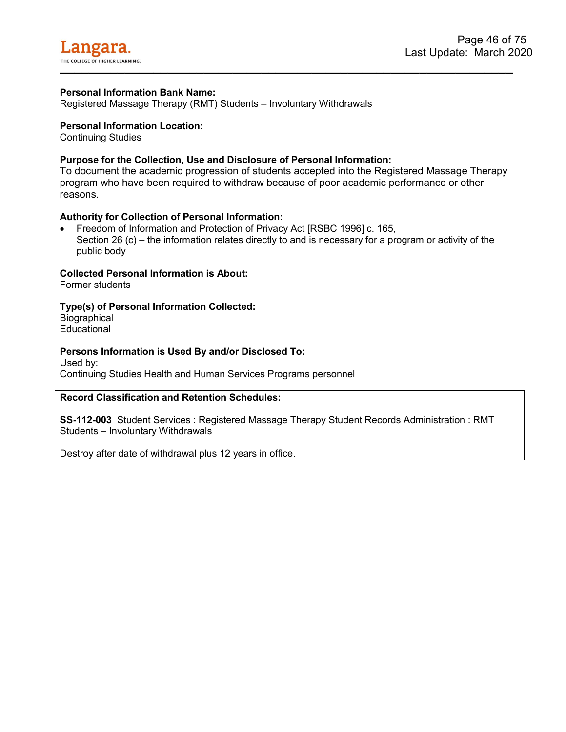Registered Massage Therapy (RMT) Students – Involuntary Withdrawals

#### **Personal Information Location:**

Continuing Studies

### **Purpose for the Collection, Use and Disclosure of Personal Information:**

To document the academic progression of students accepted into the Registered Massage Therapy program who have been required to withdraw because of poor academic performance or other reasons.

#### **Authority for Collection of Personal Information:**

• Freedom of Information and Protection of Privacy Act [RSBC 1996] c. 165, Section 26 (c) – the information relates directly to and is necessary for a program or activity of the public body

#### **Collected Personal Information is About:**

Former students

### **Type(s) of Personal Information Collected:**

**Biographical Educational** 

### **Persons Information is Used By and/or Disclosed To:**

Used by: Continuing Studies Health and Human Services Programs personnel

## **Record Classification and Retention Schedules:**

**SS-112-003** Student Services : Registered Massage Therapy Student Records Administration : RMT Students – Involuntary Withdrawals

Destroy after date of withdrawal plus 12 years in office.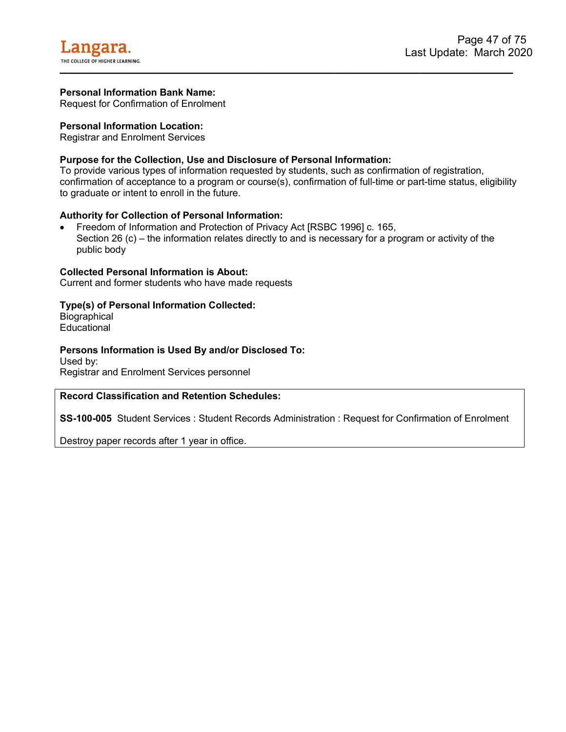Request for Confirmation of Enrolment

### **Personal Information Location:**

Registrar and Enrolment Services

## **Purpose for the Collection, Use and Disclosure of Personal Information:**

To provide various types of information requested by students, such as confirmation of registration, confirmation of acceptance to a program or course(s), confirmation of full-time or part-time status, eligibility to graduate or intent to enroll in the future.

### **Authority for Collection of Personal Information:**

• Freedom of Information and Protection of Privacy Act [RSBC 1996] c. 165, Section 26 (c) – the information relates directly to and is necessary for a program or activity of the public body

### **Collected Personal Information is About:**

Current and former students who have made requests

### **Type(s) of Personal Information Collected:**

**Biographical Educational** 

### **Persons Information is Used By and/or Disclosed To:**

Used by: Registrar and Enrolment Services personnel

### **Record Classification and Retention Schedules:**

**SS-100-005** Student Services : Student Records Administration : Request for Confirmation of Enrolment

Destroy paper records after 1 year in office.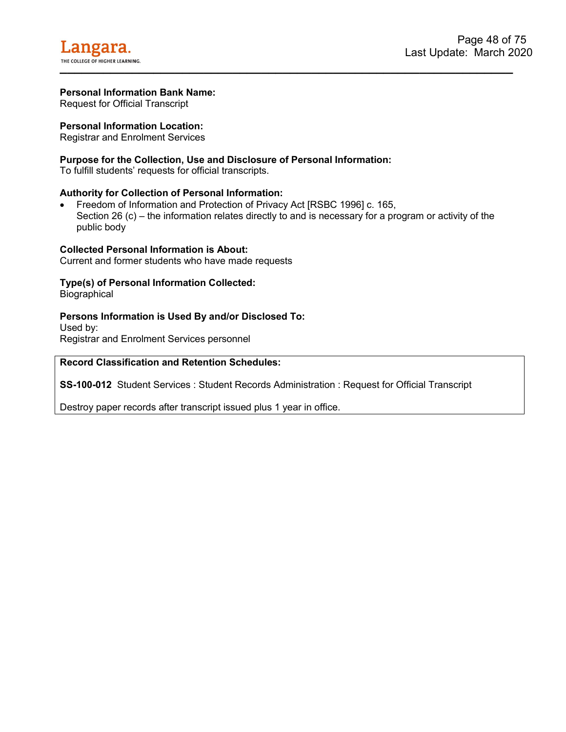Request for Official Transcript

### **Personal Information Location:**

Registrar and Enrolment Services

#### **Purpose for the Collection, Use and Disclosure of Personal Information:**

To fulfill students' requests for official transcripts.

#### **Authority for Collection of Personal Information:**

• Freedom of Information and Protection of Privacy Act [RSBC 1996] c. 165, Section 26 (c) – the information relates directly to and is necessary for a program or activity of the public body

#### **Collected Personal Information is About:**

Current and former students who have made requests

#### **Type(s) of Personal Information Collected:**

**Biographical** 

#### **Persons Information is Used By and/or Disclosed To:**

Used by: Registrar and Enrolment Services personnel

# **Record Classification and Retention Schedules:**

**SS-100-012** Student Services : Student Records Administration : Request for Official Transcript

Destroy paper records after transcript issued plus 1 year in office.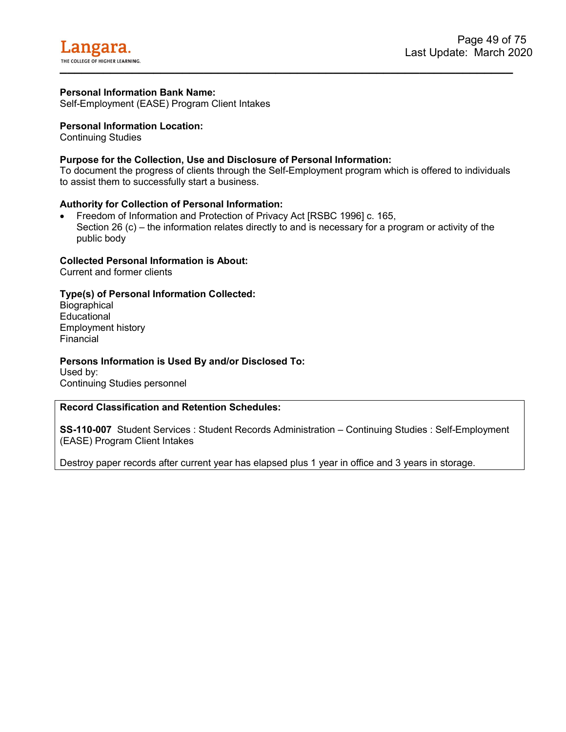Self-Employment (EASE) Program Client Intakes

### **Personal Information Location:**

Continuing Studies

### **Purpose for the Collection, Use and Disclosure of Personal Information:**

To document the progress of clients through the Self-Employment program which is offered to individuals to assist them to successfully start a business.

#### **Authority for Collection of Personal Information:**

• Freedom of Information and Protection of Privacy Act [RSBC 1996] c. 165, Section 26 (c) – the information relates directly to and is necessary for a program or activity of the public body

#### **Collected Personal Information is About:**

Current and former clients

### **Type(s) of Personal Information Collected:**

**Biographical Educational** Employment history Financial

#### **Persons Information is Used By and/or Disclosed To:**

Used by: Continuing Studies personnel

## **Record Classification and Retention Schedules:**

**SS-110-007** Student Services : Student Records Administration – Continuing Studies : Self-Employment (EASE) Program Client Intakes

Destroy paper records after current year has elapsed plus 1 year in office and 3 years in storage.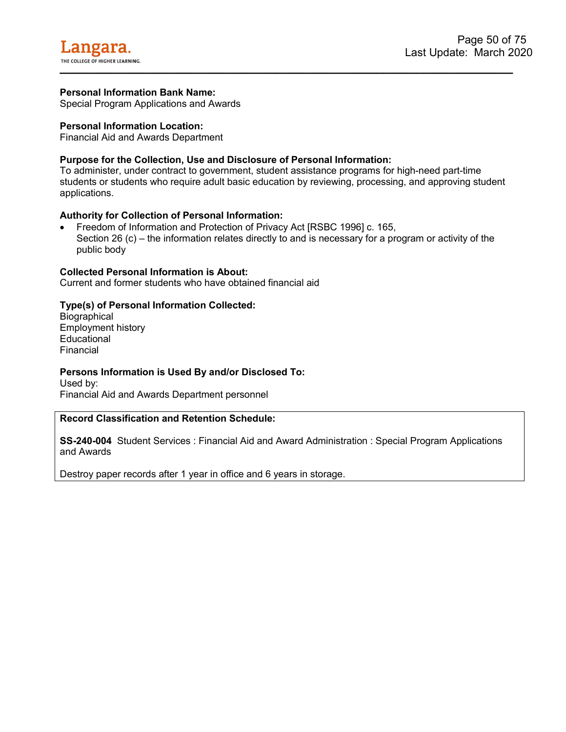Special Program Applications and Awards

### **Personal Information Location:**

Financial Aid and Awards Department

## **Purpose for the Collection, Use and Disclosure of Personal Information:**

To administer, under contract to government, student assistance programs for high-need part-time students or students who require adult basic education by reviewing, processing, and approving student applications.

### **Authority for Collection of Personal Information:**

• Freedom of Information and Protection of Privacy Act [RSBC 1996] c. 165, Section 26 (c) – the information relates directly to and is necessary for a program or activity of the public body

#### **Collected Personal Information is About:**

Current and former students who have obtained financial aid

### **Type(s) of Personal Information Collected:**

**Biographical** Employment history **Educational** Financial

### **Persons Information is Used By and/or Disclosed To:**

Used by: Financial Aid and Awards Department personnel

### **Record Classification and Retention Schedule:**

**SS-240-004** Student Services : Financial Aid and Award Administration : Special Program Applications and Awards

Destroy paper records after 1 year in office and 6 years in storage.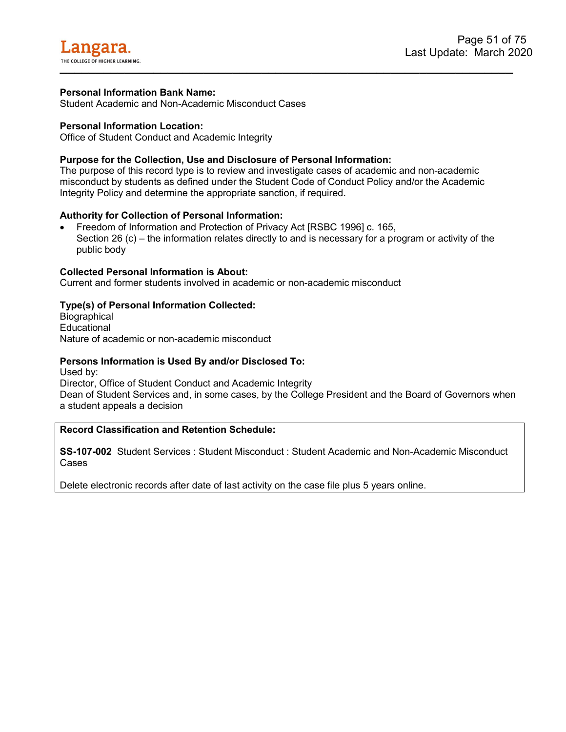Student Academic and Non-Academic Misconduct Cases

## **Personal Information Location:**

Office of Student Conduct and Academic Integrity

# **Purpose for the Collection, Use and Disclosure of Personal Information:**

The purpose of this record type is to review and investigate cases of academic and non-academic misconduct by students as defined under the Student Code of Conduct Policy and/or the Academic Integrity Policy and determine the appropriate sanction, if required.

# **Authority for Collection of Personal Information:**

• Freedom of Information and Protection of Privacy Act [RSBC 1996] c. 165, Section 26 (c) – the information relates directly to and is necessary for a program or activity of the public body

## **Collected Personal Information is About:**

Current and former students involved in academic or non-academic misconduct

## **Type(s) of Personal Information Collected:**

**Biographical Educational** Nature of academic or non-academic misconduct

### **Persons Information is Used By and/or Disclosed To:**

Used by: Director, Office of Student Conduct and Academic Integrity Dean of Student Services and, in some cases, by the College President and the Board of Governors when a student appeals a decision

# **Record Classification and Retention Schedule:**

**SS-107-002** Student Services : Student Misconduct : Student Academic and Non-Academic Misconduct Cases

Delete electronic records after date of last activity on the case file plus 5 years online.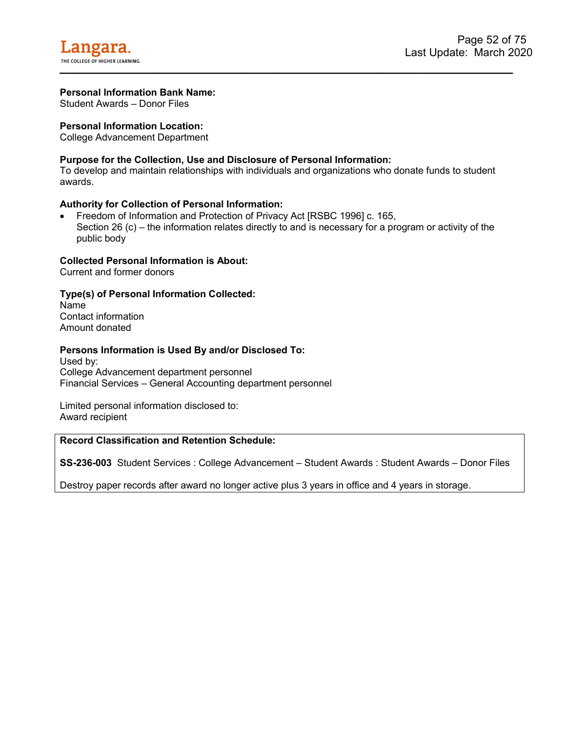Student Awards – Donor Files

### **Personal Information Location:**

College Advancement Department

## **Purpose for the Collection, Use and Disclosure of Personal Information:**

To develop and maintain relationships with individuals and organizations who donate funds to student awards.

### **Authority for Collection of Personal Information:**

• Freedom of Information and Protection of Privacy Act [RSBC 1996] c. 165, Section 26 (c) – the information relates directly to and is necessary for a program or activity of the public body

#### **Collected Personal Information is About:**

Current and former donors

### **Type(s) of Personal Information Collected:**

Name Contact information Amount donated

#### **Persons Information is Used By and/or Disclosed To:**

Used by: College Advancement department personnel Financial Services – General Accounting department personnel

Limited personal information disclosed to: Award recipient

### **Record Classification and Retention Schedule:**

**SS-236-003** Student Services : College Advancement – Student Awards : Student Awards – Donor Files

Destroy paper records after award no longer active plus 3 years in office and 4 years in storage.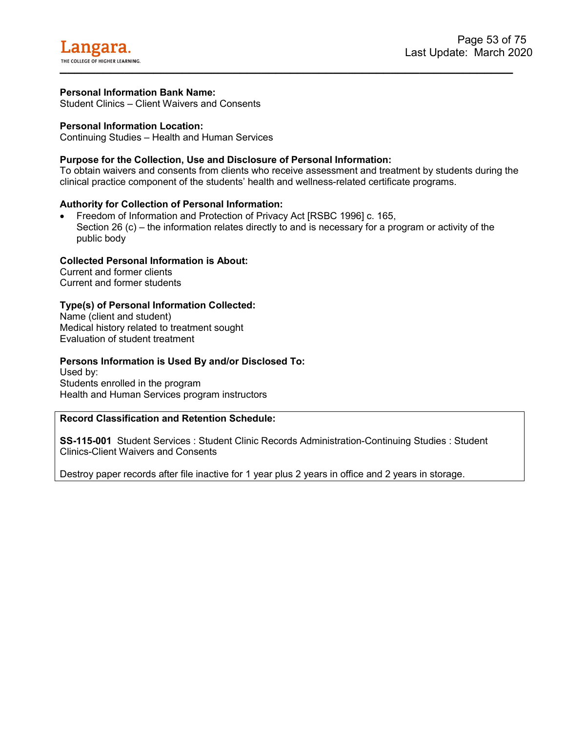Student Clinics – Client Waivers and Consents

### **Personal Information Location:**

Continuing Studies – Health and Human Services

## **Purpose for the Collection, Use and Disclosure of Personal Information:**

To obtain waivers and consents from clients who receive assessment and treatment by students during the clinical practice component of the students' health and wellness-related certificate programs.

### **Authority for Collection of Personal Information:**

• Freedom of Information and Protection of Privacy Act [RSBC 1996] c. 165, Section 26 (c) – the information relates directly to and is necessary for a program or activity of the public body

#### **Collected Personal Information is About:**

Current and former clients Current and former students

### **Type(s) of Personal Information Collected:**

Name (client and student) Medical history related to treatment sought Evaluation of student treatment

#### **Persons Information is Used By and/or Disclosed To:**

Used by: Students enrolled in the program Health and Human Services program instructors

# **Record Classification and Retention Schedule:**

**SS-115-001** Student Services : Student Clinic Records Administration-Continuing Studies : Student Clinics-Client Waivers and Consents

Destroy paper records after file inactive for 1 year plus 2 years in office and 2 years in storage.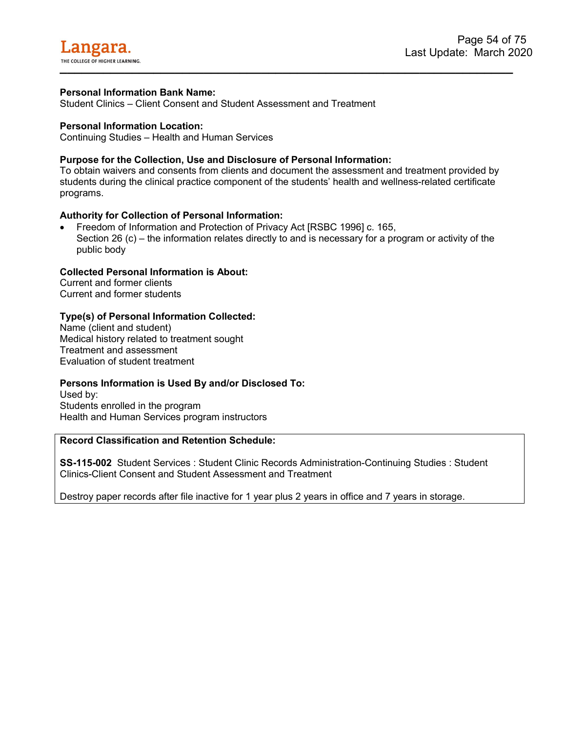Student Clinics – Client Consent and Student Assessment and Treatment

### **Personal Information Location:**

Continuing Studies – Health and Human Services

# **Purpose for the Collection, Use and Disclosure of Personal Information:**

To obtain waivers and consents from clients and document the assessment and treatment provided by students during the clinical practice component of the students' health and wellness-related certificate programs.

## **Authority for Collection of Personal Information:**

• Freedom of Information and Protection of Privacy Act [RSBC 1996] c. 165, Section 26 (c) – the information relates directly to and is necessary for a program or activity of the public body

## **Collected Personal Information is About:**

Current and former clients Current and former students

## **Type(s) of Personal Information Collected:**

Name (client and student) Medical history related to treatment sought Treatment and assessment Evaluation of student treatment

### **Persons Information is Used By and/or Disclosed To:**

Used by: Students enrolled in the program Health and Human Services program instructors

### **Record Classification and Retention Schedule:**

**SS-115-002** Student Services : Student Clinic Records Administration-Continuing Studies : Student Clinics-Client Consent and Student Assessment and Treatment

Destroy paper records after file inactive for 1 year plus 2 years in office and 7 years in storage.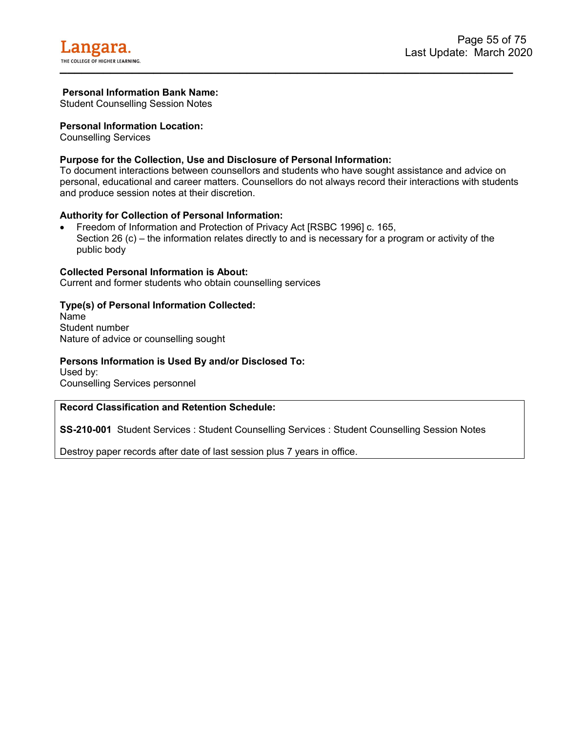Student Counselling Session Notes

### **Personal Information Location:**

Counselling Services

# **Purpose for the Collection, Use and Disclosure of Personal Information:**

To document interactions between counsellors and students who have sought assistance and advice on personal, educational and career matters. Counsellors do not always record their interactions with students and produce session notes at their discretion.

### **Authority for Collection of Personal Information:**

• Freedom of Information and Protection of Privacy Act [RSBC 1996] c. 165, Section 26 (c) – the information relates directly to and is necessary for a program or activity of the public body

### **Collected Personal Information is About:**

Current and former students who obtain counselling services

## **Type(s) of Personal Information Collected:**

Name Student number Nature of advice or counselling sought

## **Persons Information is Used By and/or Disclosed To:**

Used by: Counselling Services personnel

### **Record Classification and Retention Schedule:**

**SS-210-001** Student Services : Student Counselling Services : Student Counselling Session Notes

Destroy paper records after date of last session plus 7 years in office.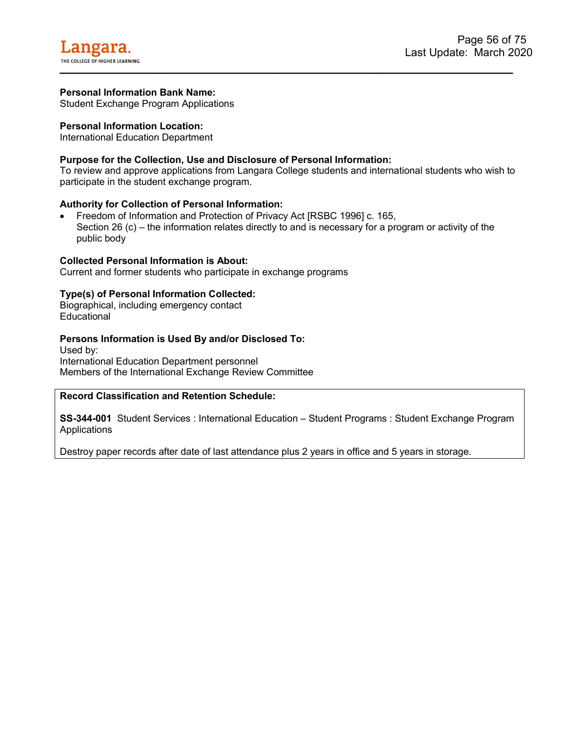Student Exchange Program Applications

### **Personal Information Location:**

International Education Department

### **Purpose for the Collection, Use and Disclosure of Personal Information:**

To review and approve applications from Langara College students and international students who wish to participate in the student exchange program.

### **Authority for Collection of Personal Information:**

• Freedom of Information and Protection of Privacy Act [RSBC 1996] c. 165, Section 26 (c) – the information relates directly to and is necessary for a program or activity of the public body

#### **Collected Personal Information is About:**

Current and former students who participate in exchange programs

### **Type(s) of Personal Information Collected:**

Biographical, including emergency contact **Educational** 

### **Persons Information is Used By and/or Disclosed To:**

Used by: International Education Department personnel Members of the International Exchange Review Committee

### **Record Classification and Retention Schedule:**

**SS-344-001** Student Services : International Education – Student Programs : Student Exchange Program **Applications** 

Destroy paper records after date of last attendance plus 2 years in office and 5 years in storage.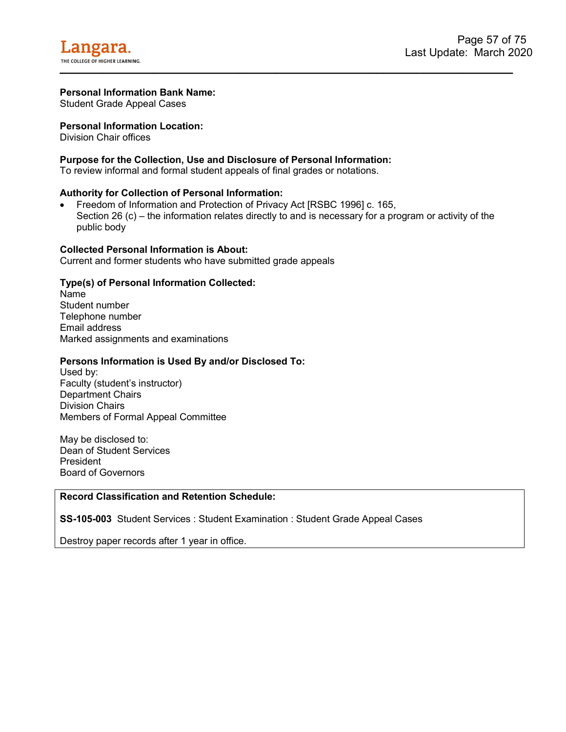Student Grade Appeal Cases

### **Personal Information Location:**

Division Chair offices

### **Purpose for the Collection, Use and Disclosure of Personal Information:**

To review informal and formal student appeals of final grades or notations.

### **Authority for Collection of Personal Information:**

• Freedom of Information and Protection of Privacy Act [RSBC 1996] c. 165, Section 26 (c) – the information relates directly to and is necessary for a program or activity of the public body

### **Collected Personal Information is About:**

Current and former students who have submitted grade appeals

### **Type(s) of Personal Information Collected:**

Name Student number Telephone number Email address Marked assignments and examinations

### **Persons Information is Used By and/or Disclosed To:**

Used by: Faculty (student's instructor) Department Chairs Division Chairs Members of Formal Appeal Committee

May be disclosed to: Dean of Student Services President Board of Governors

### **Record Classification and Retention Schedule:**

**SS-105-003** Student Services : Student Examination : Student Grade Appeal Cases

Destroy paper records after 1 year in office.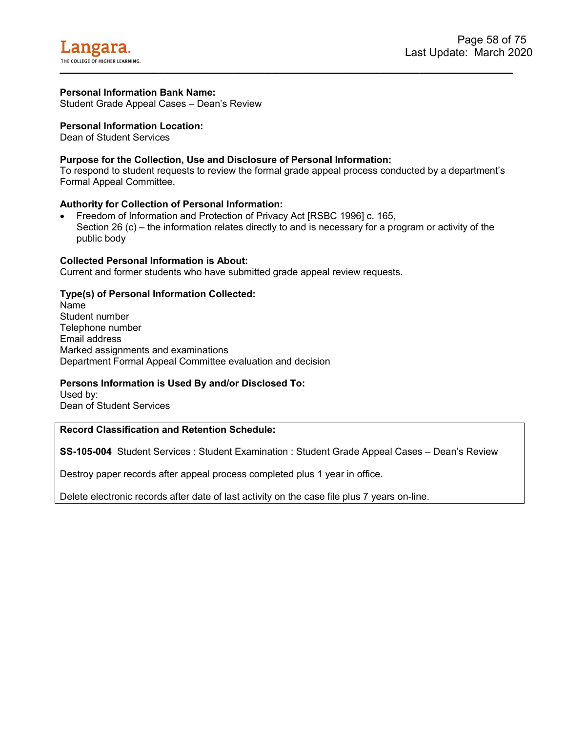Student Grade Appeal Cases – Dean's Review

### **Personal Information Location:**

Dean of Student Services

## **Purpose for the Collection, Use and Disclosure of Personal Information:**

To respond to student requests to review the formal grade appeal process conducted by a department's Formal Appeal Committee.

### **Authority for Collection of Personal Information:**

• Freedom of Information and Protection of Privacy Act [RSBC 1996] c. 165, Section 26 (c) – the information relates directly to and is necessary for a program or activity of the public body

#### **Collected Personal Information is About:**

Current and former students who have submitted grade appeal review requests.

### **Type(s) of Personal Information Collected:**

Name Student number Telephone number Email address Marked assignments and examinations Department Formal Appeal Committee evaluation and decision

### **Persons Information is Used By and/or Disclosed To:**

Used by: Dean of Student Services

# **Record Classification and Retention Schedule:**

**SS-105-004** Student Services : Student Examination : Student Grade Appeal Cases – Dean's Review

Destroy paper records after appeal process completed plus 1 year in office.

Delete electronic records after date of last activity on the case file plus 7 years on-line.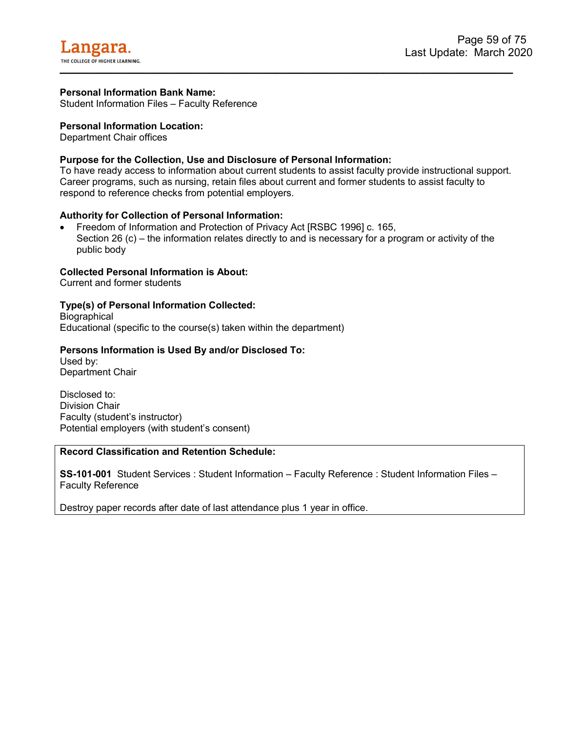Student Information Files – Faculty Reference

### **Personal Information Location:**

Department Chair offices

# **Purpose for the Collection, Use and Disclosure of Personal Information:**

To have ready access to information about current students to assist faculty provide instructional support. Career programs, such as nursing, retain files about current and former students to assist faculty to respond to reference checks from potential employers.

### **Authority for Collection of Personal Information:**

• Freedom of Information and Protection of Privacy Act [RSBC 1996] c. 165, Section 26 (c) – the information relates directly to and is necessary for a program or activity of the public body

## **Collected Personal Information is About:**

Current and former students

## **Type(s) of Personal Information Collected:**

**Biographical** Educational (specific to the course(s) taken within the department)

### **Persons Information is Used By and/or Disclosed To:**

Used by: Department Chair

Disclosed to: Division Chair Faculty (student's instructor) Potential employers (with student's consent)

# **Record Classification and Retention Schedule:**

**SS-101-001** Student Services : Student Information – Faculty Reference : Student Information Files – Faculty Reference

Destroy paper records after date of last attendance plus 1 year in office.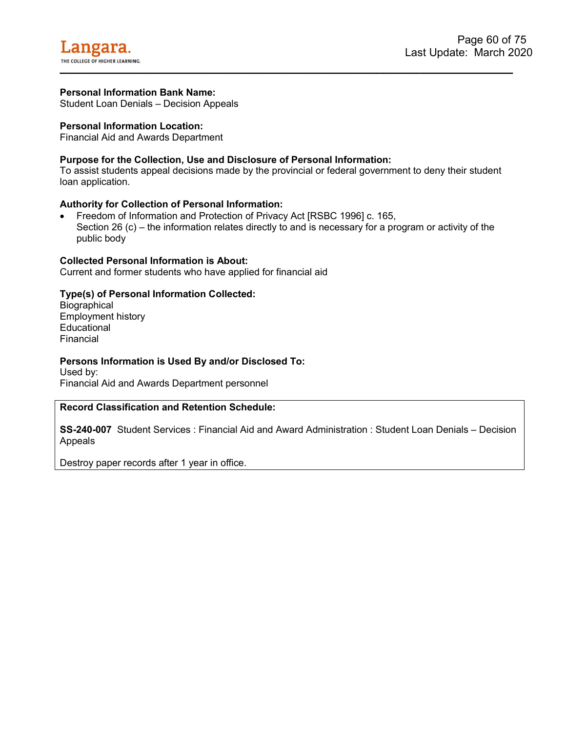Student Loan Denials – Decision Appeals

### **Personal Information Location:**

Financial Aid and Awards Department

## **Purpose for the Collection, Use and Disclosure of Personal Information:**

To assist students appeal decisions made by the provincial or federal government to deny their student loan application.

### **Authority for Collection of Personal Information:**

• Freedom of Information and Protection of Privacy Act [RSBC 1996] c. 165, Section 26 (c) – the information relates directly to and is necessary for a program or activity of the public body

#### **Collected Personal Information is About:**

Current and former students who have applied for financial aid

# **Type(s) of Personal Information Collected:**

**Biographical** Employment history **Educational** Financial

#### **Persons Information is Used By and/or Disclosed To:**

Used by:

Financial Aid and Awards Department personnel

## **Record Classification and Retention Schedule:**

**SS-240-007** Student Services : Financial Aid and Award Administration : Student Loan Denials – Decision Appeals

Destroy paper records after 1 year in office.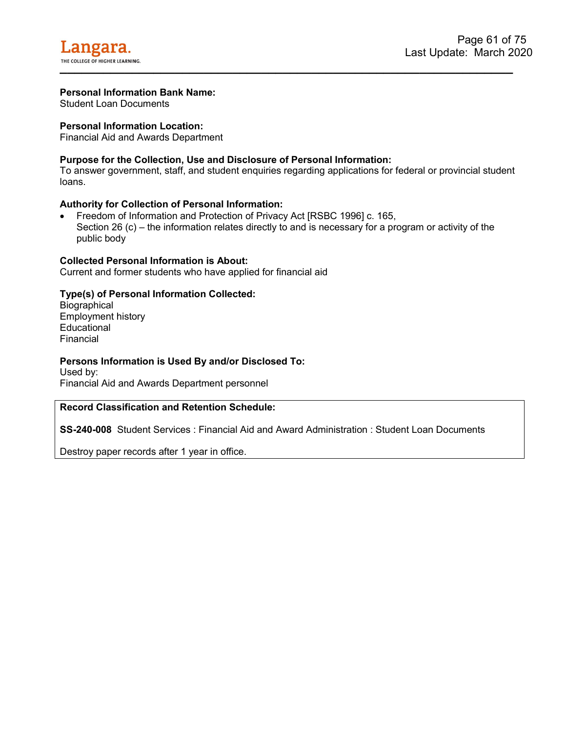Student Loan Documents

## **Personal Information Location:**

Financial Aid and Awards Department

## **Purpose for the Collection, Use and Disclosure of Personal Information:**

To answer government, staff, and student enquiries regarding applications for federal or provincial student loans.

### **Authority for Collection of Personal Information:**

• Freedom of Information and Protection of Privacy Act [RSBC 1996] c. 165, Section 26 (c) – the information relates directly to and is necessary for a program or activity of the public body

### **Collected Personal Information is About:**

Current and former students who have applied for financial aid

## **Type(s) of Personal Information Collected:**

**Biographical** Employment history **Educational** Financial

### **Persons Information is Used By and/or Disclosed To:**

Used by: Financial Aid and Awards Department personnel

### **Record Classification and Retention Schedule:**

**SS-240-008** Student Services : Financial Aid and Award Administration : Student Loan Documents

Destroy paper records after 1 year in office.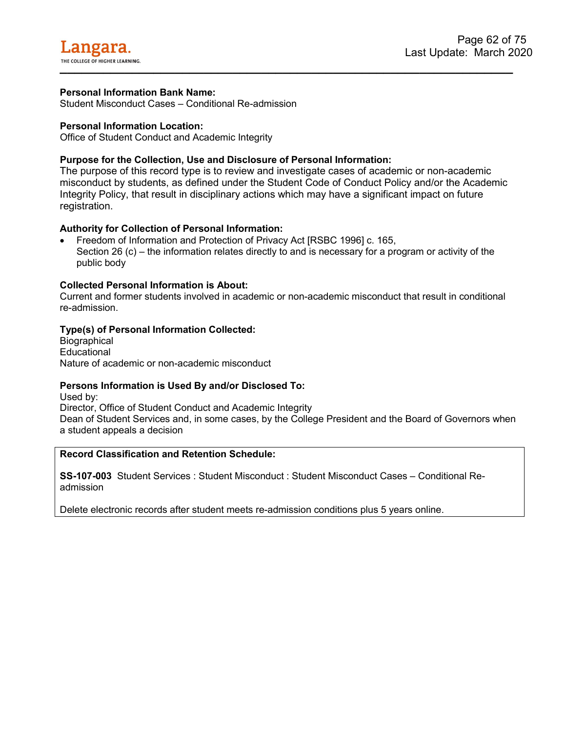Student Misconduct Cases – Conditional Re-admission

## **Personal Information Location:**

Office of Student Conduct and Academic Integrity

# **Purpose for the Collection, Use and Disclosure of Personal Information:**

The purpose of this record type is to review and investigate cases of academic or non-academic misconduct by students, as defined under the Student Code of Conduct Policy and/or the Academic Integrity Policy, that result in disciplinary actions which may have a significant impact on future registration.

# **Authority for Collection of Personal Information:**

• Freedom of Information and Protection of Privacy Act [RSBC 1996] c. 165, Section 26 (c) – the information relates directly to and is necessary for a program or activity of the public body

## **Collected Personal Information is About:**

Current and former students involved in academic or non-academic misconduct that result in conditional re-admission.

## **Type(s) of Personal Information Collected:**

**Biographical Educational** Nature of academic or non-academic misconduct

### **Persons Information is Used By and/or Disclosed To:**

Used by:

Director, Office of Student Conduct and Academic Integrity Dean of Student Services and, in some cases, by the College President and the Board of Governors when a student appeals a decision

## **Record Classification and Retention Schedule:**

**SS-107-003** Student Services : Student Misconduct : Student Misconduct Cases – Conditional Readmission

Delete electronic records after student meets re-admission conditions plus 5 years online.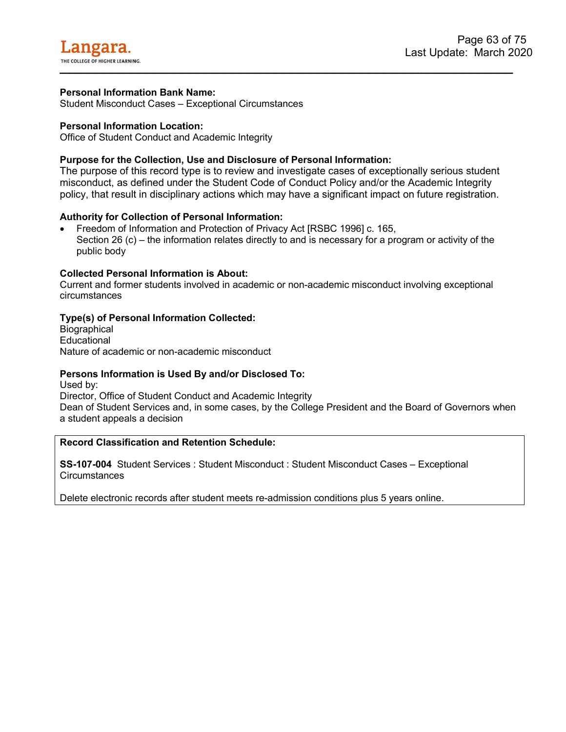Student Misconduct Cases – Exceptional Circumstances

### **Personal Information Location:**

Office of Student Conduct and Academic Integrity

# **Purpose for the Collection, Use and Disclosure of Personal Information:**

The purpose of this record type is to review and investigate cases of exceptionally serious student misconduct, as defined under the Student Code of Conduct Policy and/or the Academic Integrity policy, that result in disciplinary actions which may have a significant impact on future registration.

## **Authority for Collection of Personal Information:**

• Freedom of Information and Protection of Privacy Act [RSBC 1996] c. 165, Section 26 (c) – the information relates directly to and is necessary for a program or activity of the public body

## **Collected Personal Information is About:**

Current and former students involved in academic or non-academic misconduct involving exceptional circumstances

## **Type(s) of Personal Information Collected:**

**Biographical Educational** Nature of academic or non-academic misconduct

### **Persons Information is Used By and/or Disclosed To:**

Used by: Director, Office of Student Conduct and Academic Integrity Dean of Student Services and, in some cases, by the College President and the Board of Governors when a student appeals a decision

# **Record Classification and Retention Schedule:**

**SS-107-004** Student Services : Student Misconduct : Student Misconduct Cases – Exceptional **Circumstances** 

Delete electronic records after student meets re-admission conditions plus 5 years online.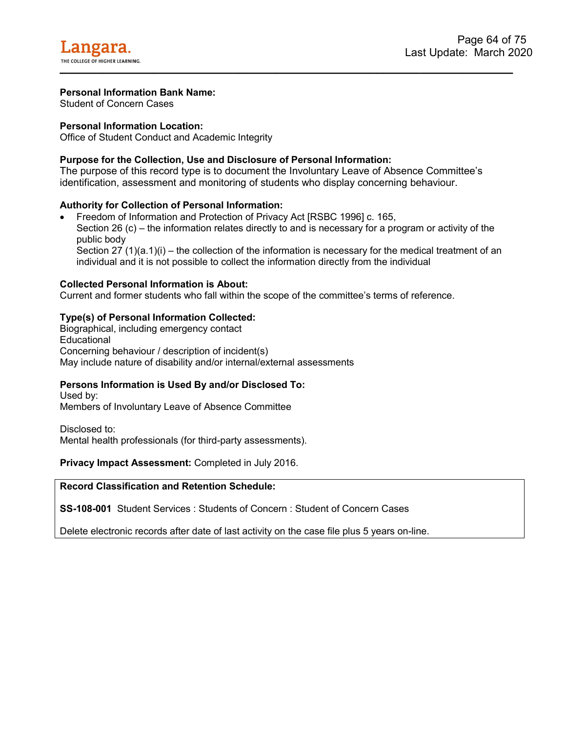Student of Concern Cases

## **Personal Information Location:**

Office of Student Conduct and Academic Integrity

# **Purpose for the Collection, Use and Disclosure of Personal Information:**

The purpose of this record type is to document the Involuntary Leave of Absence Committee's identification, assessment and monitoring of students who display concerning behaviour.

## **Authority for Collection of Personal Information:**

• Freedom of Information and Protection of Privacy Act [RSBC 1996] c. 165, Section 26 (c) – the information relates directly to and is necessary for a program or activity of the public body Section 27 (1)(a.1)(i) – the collection of the information is necessary for the medical treatment of an individual and it is not possible to collect the information directly from the individual

## **Collected Personal Information is About:**

Current and former students who fall within the scope of the committee's terms of reference.

## **Type(s) of Personal Information Collected:**

Biographical, including emergency contact **Educational** Concerning behaviour / description of incident(s) May include nature of disability and/or internal/external assessments

# **Persons Information is Used By and/or Disclosed To:**

Used by: Members of Involuntary Leave of Absence Committee

Disclosed to:

Mental health professionals (for third-party assessments).

**Privacy Impact Assessment:** Completed in July 2016.

**Record Classification and Retention Schedule:**

**SS-108-001** Student Services : Students of Concern : Student of Concern Cases

Delete electronic records after date of last activity on the case file plus 5 years on-line.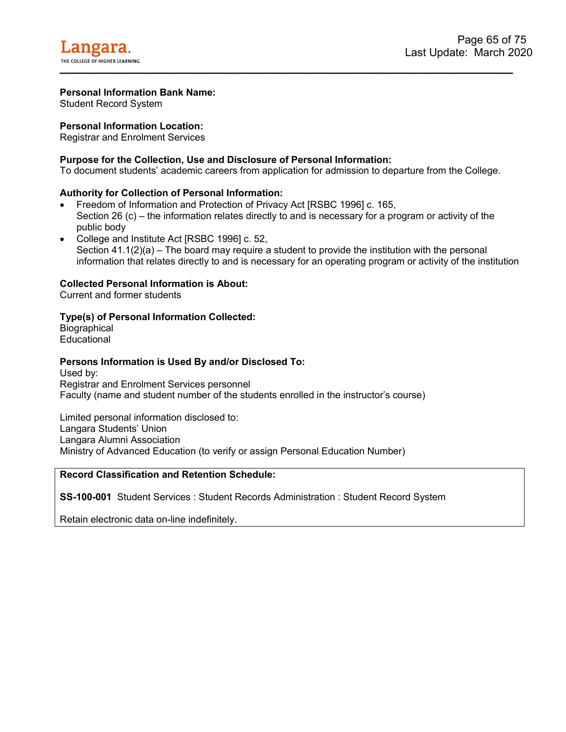Student Record System

## **Personal Information Location:**

Registrar and Enrolment Services

## **Purpose for the Collection, Use and Disclosure of Personal Information:**

To document students' academic careers from application for admission to departure from the College.

### **Authority for Collection of Personal Information:**

- Freedom of Information and Protection of Privacy Act [RSBC 1996] c. 165, Section 26 (c) – the information relates directly to and is necessary for a program or activity of the public body
- College and Institute Act [RSBC 1996] c. 52, Section  $41.1(2)(a)$  – The board may require a student to provide the institution with the personal information that relates directly to and is necessary for an operating program or activity of the institution

### **Collected Personal Information is About:**

Current and former students

## **Type(s) of Personal Information Collected:**

**Biographical Educational** 

### **Persons Information is Used By and/or Disclosed To:**

Used by: Registrar and Enrolment Services personnel Faculty (name and student number of the students enrolled in the instructor's course)

Limited personal information disclosed to: Langara Students' Union Langara Alumni Association Ministry of Advanced Education (to verify or assign Personal Education Number)

# **Record Classification and Retention Schedule:**

**SS-100-001** Student Services : Student Records Administration : Student Record System

Retain electronic data on-line indefinitely.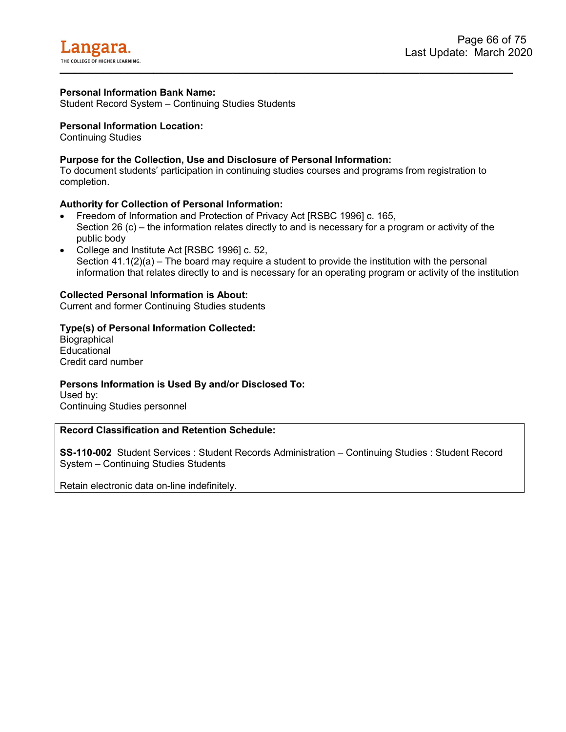Student Record System – Continuing Studies Students

### **Personal Information Location:**

Continuing Studies

# **Purpose for the Collection, Use and Disclosure of Personal Information:**

To document students' participation in continuing studies courses and programs from registration to completion.

### **Authority for Collection of Personal Information:**

- Freedom of Information and Protection of Privacy Act [RSBC 1996] c. 165, Section 26 (c) – the information relates directly to and is necessary for a program or activity of the public body
- College and Institute Act [RSBC 1996] c. 52, Section  $41.1(2)(a)$  – The board may require a student to provide the institution with the personal information that relates directly to and is necessary for an operating program or activity of the institution

## **Collected Personal Information is About:**

Current and former Continuing Studies students

## **Type(s) of Personal Information Collected:**

**Biographical Educational** Credit card number

# **Persons Information is Used By and/or Disclosed To:**

Used by: Continuing Studies personnel

### **Record Classification and Retention Schedule:**

**SS-110-002** Student Services : Student Records Administration – Continuing Studies : Student Record System – Continuing Studies Students

Retain electronic data on-line indefinitely.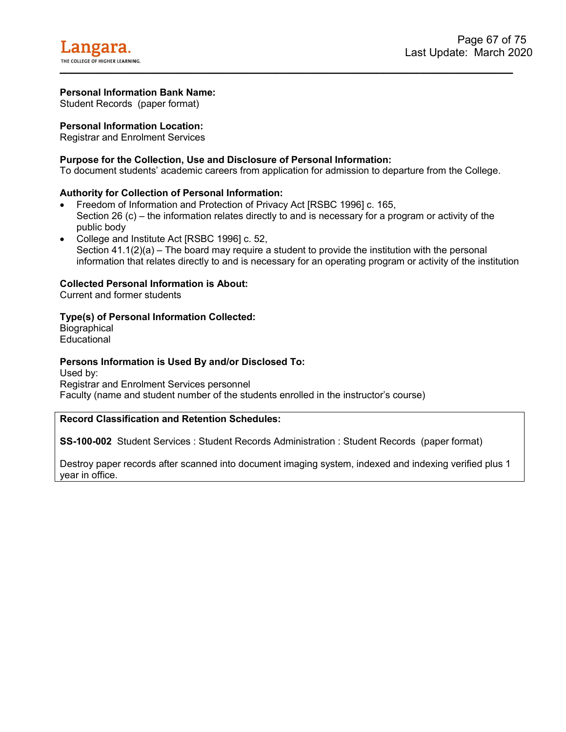Student Records (paper format)

# **Personal Information Location:**

Registrar and Enrolment Services

## **Purpose for the Collection, Use and Disclosure of Personal Information:**

To document students' academic careers from application for admission to departure from the College.

### **Authority for Collection of Personal Information:**

- Freedom of Information and Protection of Privacy Act [RSBC 1996] c. 165, Section 26 (c) – the information relates directly to and is necessary for a program or activity of the public body
- College and Institute Act [RSBC 1996] c. 52, Section  $41.1(2)(a)$  – The board may require a student to provide the institution with the personal information that relates directly to and is necessary for an operating program or activity of the institution

## **Collected Personal Information is About:**

Current and former students

## **Type(s) of Personal Information Collected:**

**Biographical Educational** 

### **Persons Information is Used By and/or Disclosed To:**

Used by: Registrar and Enrolment Services personnel Faculty (name and student number of the students enrolled in the instructor's course)

## **Record Classification and Retention Schedules:**

**SS-100-002** Student Services : Student Records Administration : Student Records (paper format)

Destroy paper records after scanned into document imaging system, indexed and indexing verified plus 1 year in office.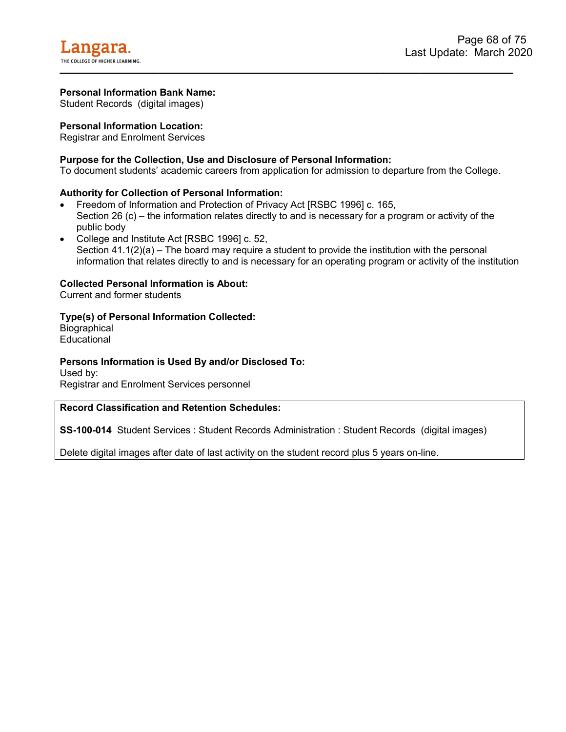Student Records (digital images)

## **Personal Information Location:**

Registrar and Enrolment Services

## **Purpose for the Collection, Use and Disclosure of Personal Information:**

To document students' academic careers from application for admission to departure from the College.

### **Authority for Collection of Personal Information:**

- Freedom of Information and Protection of Privacy Act [RSBC 1996] c. 165, Section 26 (c) – the information relates directly to and is necessary for a program or activity of the public body
- College and Institute Act [RSBC 1996] c. 52, Section  $41.1(2)(a)$  – The board may require a student to provide the institution with the personal information that relates directly to and is necessary for an operating program or activity of the institution

### **Collected Personal Information is About:**

Current and former students

### **Type(s) of Personal Information Collected:**

**Biographical Educational** 

### **Persons Information is Used By and/or Disclosed To:**

Used by: Registrar and Enrolment Services personnel

### **Record Classification and Retention Schedules:**

**SS-100-014** Student Services : Student Records Administration : Student Records (digital images)

Delete digital images after date of last activity on the student record plus 5 years on-line.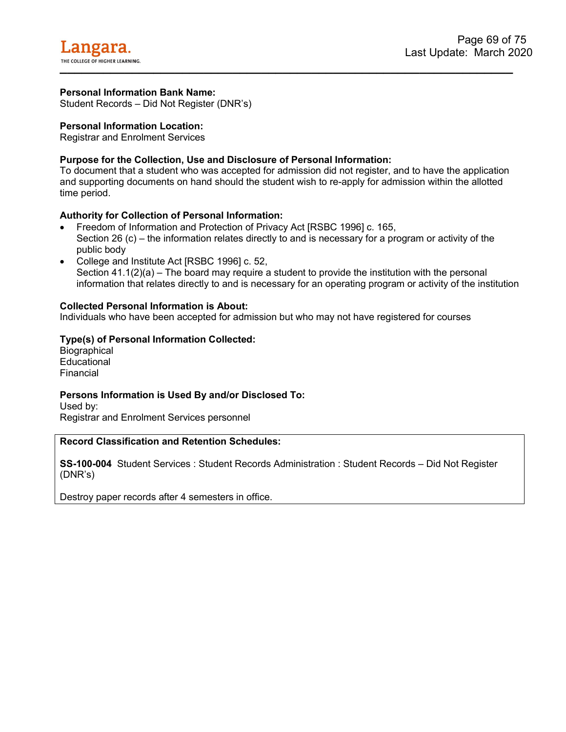Student Records – Did Not Register (DNR's)

### **Personal Information Location:**

Registrar and Enrolment Services

## **Purpose for the Collection, Use and Disclosure of Personal Information:**

To document that a student who was accepted for admission did not register, and to have the application and supporting documents on hand should the student wish to re-apply for admission within the allotted time period.

### **Authority for Collection of Personal Information:**

- Freedom of Information and Protection of Privacy Act [RSBC 1996] c. 165, Section 26 (c) – the information relates directly to and is necessary for a program or activity of the public body
- College and Institute Act [RSBC 1996] c. 52, Section  $41.1(2)(a)$  – The board may require a student to provide the institution with the personal information that relates directly to and is necessary for an operating program or activity of the institution

### **Collected Personal Information is About:**

Individuals who have been accepted for admission but who may not have registered for courses

## **Type(s) of Personal Information Collected:**

**Biographical Educational** Financial

### **Persons Information is Used By and/or Disclosed To:**

Used by: Registrar and Enrolment Services personnel

### **Record Classification and Retention Schedules:**

**SS-100-004** Student Services : Student Records Administration : Student Records – Did Not Register (DNR's)

Destroy paper records after 4 semesters in office.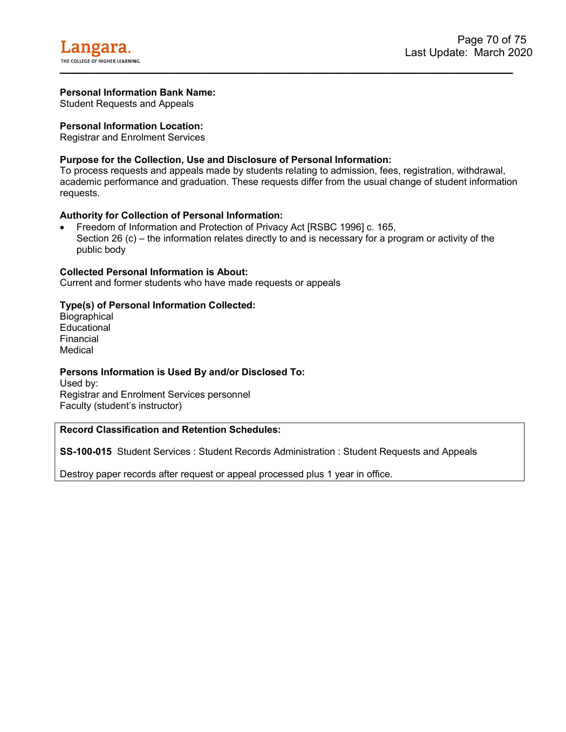Student Requests and Appeals

### **Personal Information Location:**

Registrar and Enrolment Services

## **Purpose for the Collection, Use and Disclosure of Personal Information:**

To process requests and appeals made by students relating to admission, fees, registration, withdrawal, academic performance and graduation. These requests differ from the usual change of student information requests.

### **Authority for Collection of Personal Information:**

• Freedom of Information and Protection of Privacy Act [RSBC 1996] c. 165, Section 26 (c) – the information relates directly to and is necessary for a program or activity of the public body

#### **Collected Personal Information is About:**

Current and former students who have made requests or appeals

### **Type(s) of Personal Information Collected:**

**Biographical Educational** Financial Medical

### **Persons Information is Used By and/or Disclosed To:**

Used by: Registrar and Enrolment Services personnel Faculty (student's instructor)

## **Record Classification and Retention Schedules:**

**SS-100-015** Student Services : Student Records Administration : Student Requests and Appeals

Destroy paper records after request or appeal processed plus 1 year in office.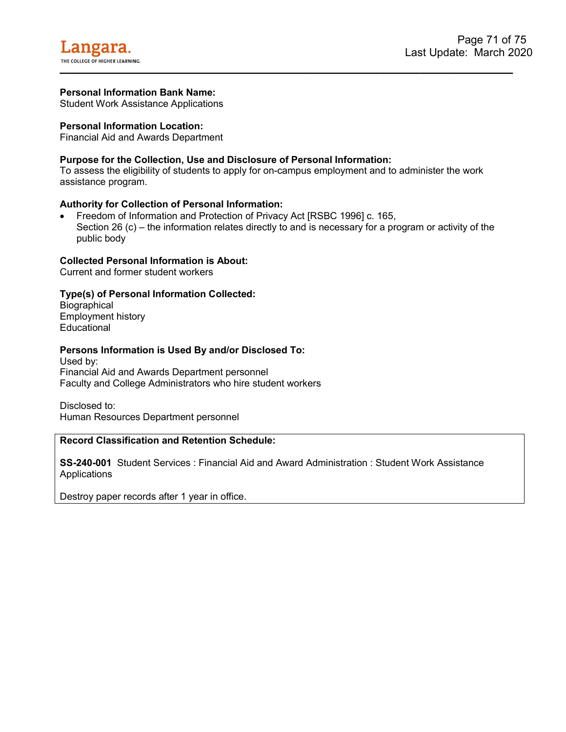Student Work Assistance Applications

### **Personal Information Location:**

Financial Aid and Awards Department

## **Purpose for the Collection, Use and Disclosure of Personal Information:**

To assess the eligibility of students to apply for on-campus employment and to administer the work assistance program.

### **Authority for Collection of Personal Information:**

• Freedom of Information and Protection of Privacy Act [RSBC 1996] c. 165, Section 26 (c) – the information relates directly to and is necessary for a program or activity of the public body

### **Collected Personal Information is About:**

Current and former student workers

## **Type(s) of Personal Information Collected:**

**Biographical** Employment history **Educational** 

#### **Persons Information is Used By and/or Disclosed To:**

Used by: Financial Aid and Awards Department personnel Faculty and College Administrators who hire student workers

Disclosed to: Human Resources Department personnel

### **Record Classification and Retention Schedule:**

**SS-240-001** Student Services : Financial Aid and Award Administration : Student Work Assistance **Applications** 

Destroy paper records after 1 year in office.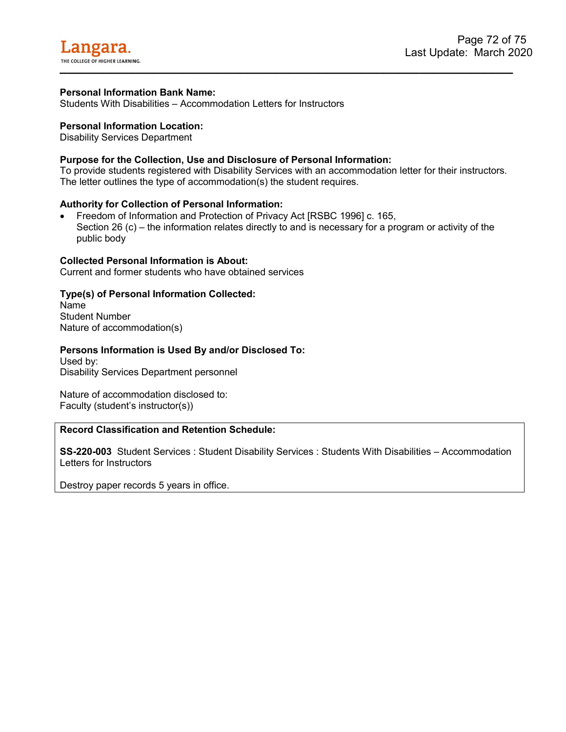Students With Disabilities – Accommodation Letters for Instructors

# **Personal Information Location:**

Disability Services Department

#### **Purpose for the Collection, Use and Disclosure of Personal Information:**

To provide students registered with Disability Services with an accommodation letter for their instructors. The letter outlines the type of accommodation(s) the student requires.

#### **Authority for Collection of Personal Information:**

• Freedom of Information and Protection of Privacy Act [RSBC 1996] c. 165, Section 26 (c) – the information relates directly to and is necessary for a program or activity of the public body

#### **Collected Personal Information is About:**

Current and former students who have obtained services

## **Type(s) of Personal Information Collected:**

Name Student Number Nature of accommodation(s)

#### **Persons Information is Used By and/or Disclosed To:**

Used by: Disability Services Department personnel

Nature of accommodation disclosed to: Faculty (student's instructor(s))

# **Record Classification and Retention Schedule:**

**SS-220-003** Student Services : Student Disability Services : Students With Disabilities – Accommodation Letters for Instructors

Destroy paper records 5 years in office.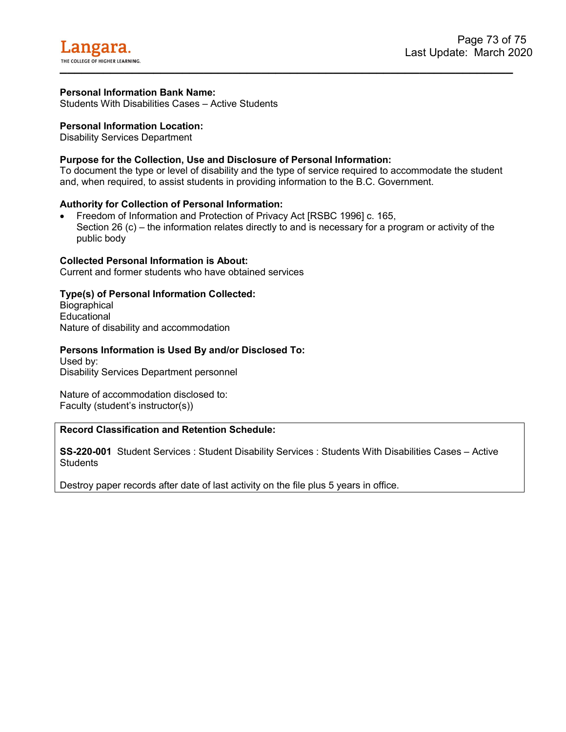Students With Disabilities Cases – Active Students

# **Personal Information Location:**

Disability Services Department

# **Purpose for the Collection, Use and Disclosure of Personal Information:**

To document the type or level of disability and the type of service required to accommodate the student and, when required, to assist students in providing information to the B.C. Government.

## **Authority for Collection of Personal Information:**

• Freedom of Information and Protection of Privacy Act [RSBC 1996] c. 165, Section 26 (c) – the information relates directly to and is necessary for a program or activity of the public body

#### **Collected Personal Information is About:**

Current and former students who have obtained services

## **Type(s) of Personal Information Collected:**

**Biographical Educational** Nature of disability and accommodation

## **Persons Information is Used By and/or Disclosed To:**

Used by: Disability Services Department personnel

Nature of accommodation disclosed to: Faculty (student's instructor(s))

# **Record Classification and Retention Schedule:**

**SS-220-001** Student Services : Student Disability Services : Students With Disabilities Cases – Active **Students** 

Destroy paper records after date of last activity on the file plus 5 years in office.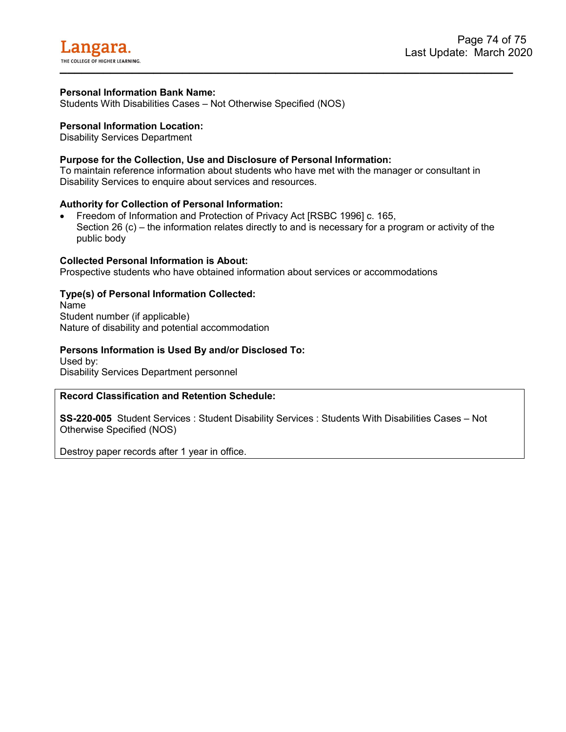Students With Disabilities Cases – Not Otherwise Specified (NOS)

#### **Personal Information Location:**

Disability Services Department

## **Purpose for the Collection, Use and Disclosure of Personal Information:**

To maintain reference information about students who have met with the manager or consultant in Disability Services to enquire about services and resources.

#### **Authority for Collection of Personal Information:**

• Freedom of Information and Protection of Privacy Act [RSBC 1996] c. 165, Section 26 (c) – the information relates directly to and is necessary for a program or activity of the public body

#### **Collected Personal Information is About:**

Prospective students who have obtained information about services or accommodations

## **Type(s) of Personal Information Collected:**

Name Student number (if applicable) Nature of disability and potential accommodation

#### **Persons Information is Used By and/or Disclosed To:**

Used by: Disability Services Department personnel

#### **Record Classification and Retention Schedule:**

**SS-220-005** Student Services : Student Disability Services : Students With Disabilities Cases – Not Otherwise Specified (NOS)

Destroy paper records after 1 year in office.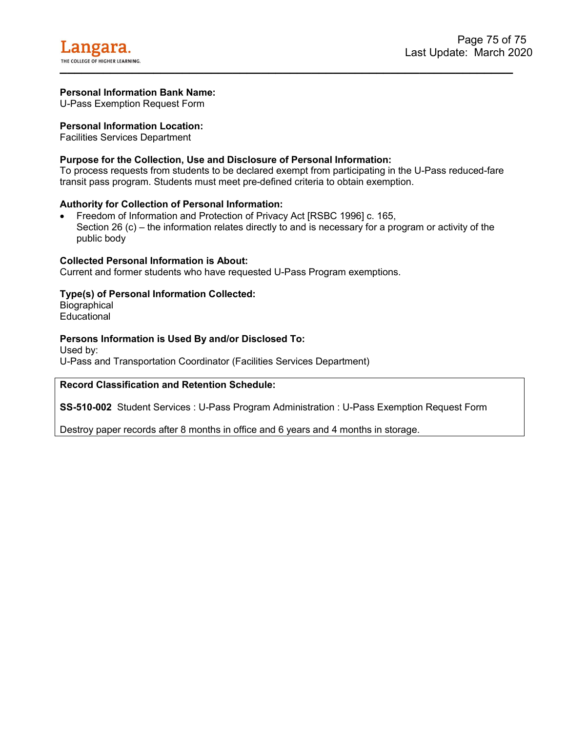U-Pass Exemption Request Form

# **Personal Information Location:**

Facilities Services Department

# **Purpose for the Collection, Use and Disclosure of Personal Information:**

To process requests from students to be declared exempt from participating in the U-Pass reduced-fare transit pass program. Students must meet pre-defined criteria to obtain exemption.

## **Authority for Collection of Personal Information:**

• Freedom of Information and Protection of Privacy Act [RSBC 1996] c. 165, Section 26 (c) – the information relates directly to and is necessary for a program or activity of the public body

#### **Collected Personal Information is About:**

Current and former students who have requested U-Pass Program exemptions.

## **Type(s) of Personal Information Collected:**

**Biographical** Educational

## **Persons Information is Used By and/or Disclosed To:**

Used by: U-Pass and Transportation Coordinator (Facilities Services Department)

## **Record Classification and Retention Schedule:**

**SS-510-002** Student Services : U-Pass Program Administration : U-Pass Exemption Request Form

Destroy paper records after 8 months in office and 6 years and 4 months in storage.